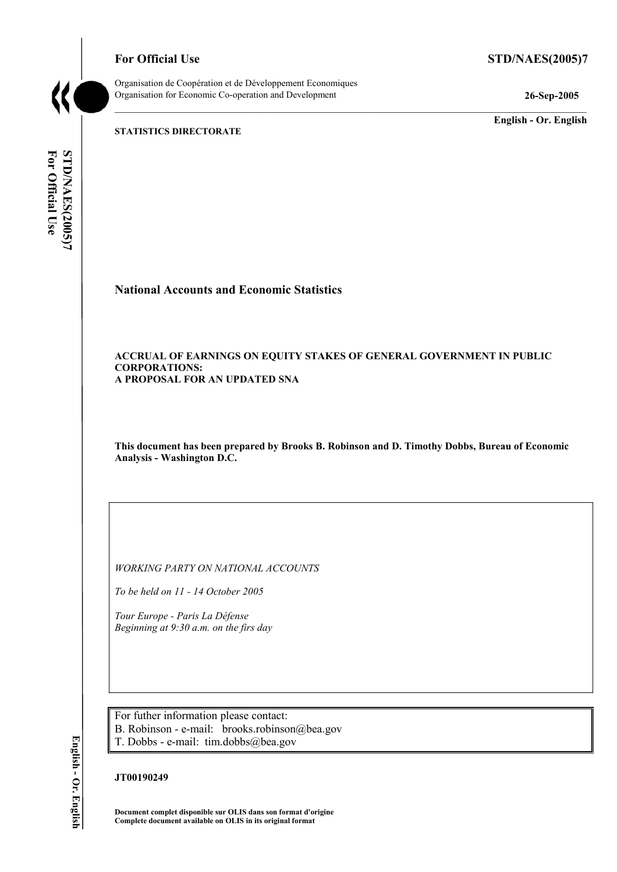**For Official Use STD/NAES(2005)7** 



Organisation de Coopération et de Développement Economiques Organisation for Economic Co-operation and Development **26-Sep-2005** 

**English - Or. English** 

**STATISTICS DIRECTORATE** 

For Official Use STD/NAES(2005)7 **For Official Use STD/NAES(2005)7 English - Or. English** 

**National Accounts and Economic Statistics** 

### **ACCRUAL OF EARNINGS ON EQUITY STAKES OF GENERAL GOVERNMENT IN PUBLIC CORPORATIONS: A PROPOSAL FOR AN UPDATED SNA**

**This document has been prepared by Brooks B. Robinson and D. Timothy Dobbs, Bureau of Economic Analysis - Washington D.C.** 

*WORKING PARTY ON NATIONAL ACCOUNTS* 

*To be held on 11 - 14 October 2005* 

*Tour Europe - Paris La Défense Beginning at 9:30 a.m. on the firs day* 

For futher information please contact: B. Robinson - e-mail: brooks.robinson@bea.gov T. Dobbs - e-mail: tim.dobbs@bea.gov

## **JT00190249**

**Document complet disponible sur OLIS dans son format d'origine Complete document available on OLIS in its original format**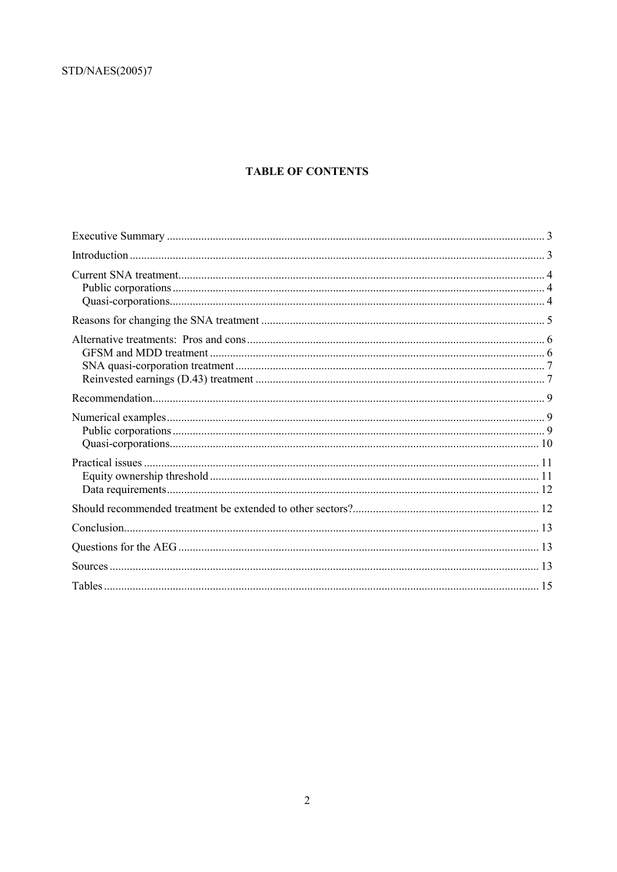# **TABLE OF CONTENTS**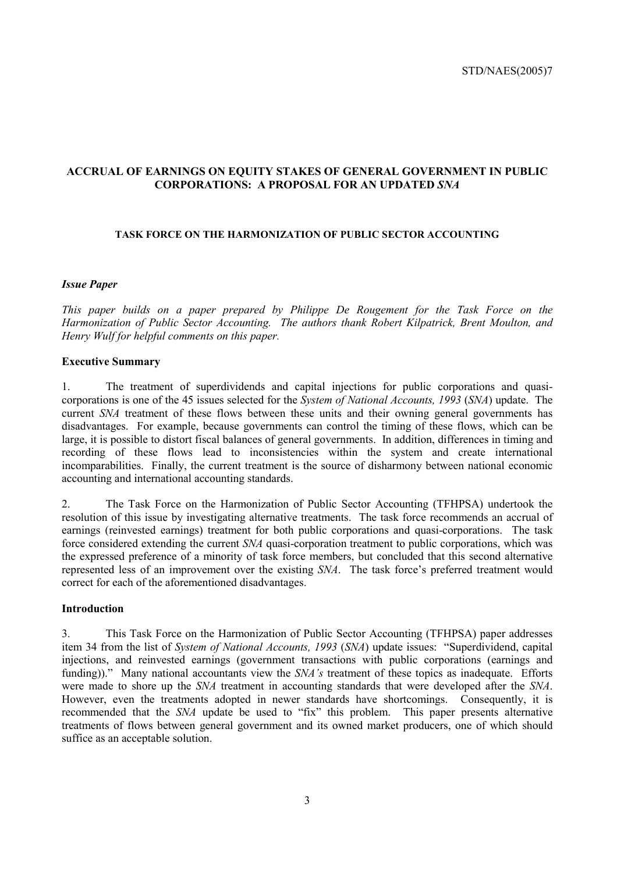## **ACCRUAL OF EARNINGS ON EQUITY STAKES OF GENERAL GOVERNMENT IN PUBLIC CORPORATIONS: A PROPOSAL FOR AN UPDATED** *SNA*

## **TASK FORCE ON THE HARMONIZATION OF PUBLIC SECTOR ACCOUNTING**

#### *Issue Paper*

*This paper builds on a paper prepared by Philippe De Rougement for the Task Force on the Harmonization of Public Sector Accounting. The authors thank Robert Kilpatrick, Brent Moulton, and Henry Wulf for helpful comments on this paper.* 

#### **Executive Summary**

1. The treatment of superdividends and capital injections for public corporations and quasicorporations is one of the 45 issues selected for the *System of National Accounts, 1993* (*SNA*) update. The current *SNA* treatment of these flows between these units and their owning general governments has disadvantages. For example, because governments can control the timing of these flows, which can be large, it is possible to distort fiscal balances of general governments. In addition, differences in timing and recording of these flows lead to inconsistencies within the system and create international incomparabilities. Finally, the current treatment is the source of disharmony between national economic accounting and international accounting standards.

2. The Task Force on the Harmonization of Public Sector Accounting (TFHPSA) undertook the resolution of this issue by investigating alternative treatments. The task force recommends an accrual of earnings (reinvested earnings) treatment for both public corporations and quasi-corporations. The task force considered extending the current *SNA* quasi-corporation treatment to public corporations, which was the expressed preference of a minority of task force members, but concluded that this second alternative represented less of an improvement over the existing *SNA*. The task force's preferred treatment would correct for each of the aforementioned disadvantages.

## **Introduction**

3. This Task Force on the Harmonization of Public Sector Accounting (TFHPSA) paper addresses item 34 from the list of *System of National Accounts, 1993* (*SNA*) update issues: "Superdividend, capital injections, and reinvested earnings (government transactions with public corporations (earnings and funding))." Many national accountants view the *SNA's* treatment of these topics as inadequate. Efforts were made to shore up the *SNA* treatment in accounting standards that were developed after the *SNA*. However, even the treatments adopted in newer standards have shortcomings. Consequently, it is recommended that the *SNA* update be used to "fix" this problem. This paper presents alternative treatments of flows between general government and its owned market producers, one of which should suffice as an acceptable solution.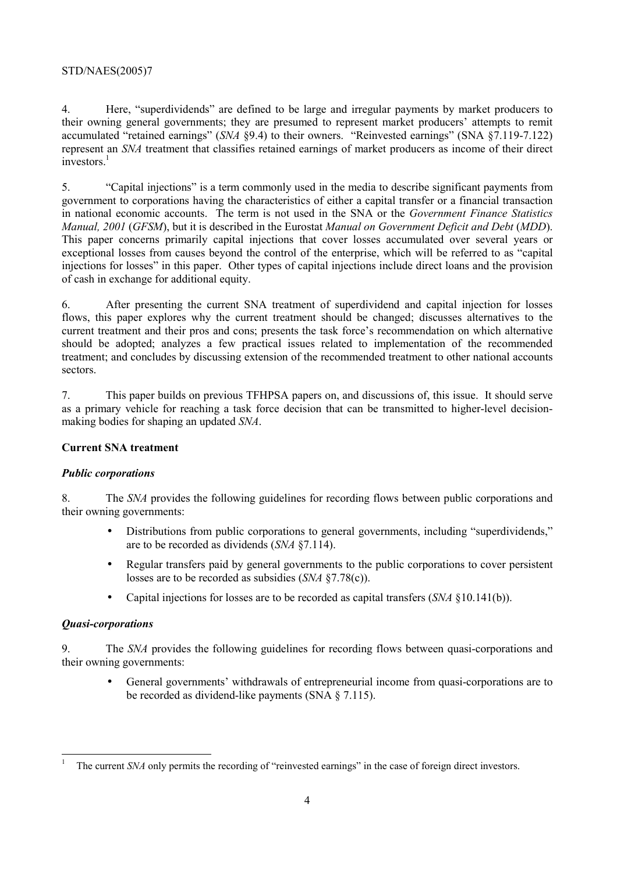4. Here, "superdividends" are defined to be large and irregular payments by market producers to their owning general governments; they are presumed to represent market producers' attempts to remit accumulated "retained earnings" (*SNA* §9.4) to their owners. "Reinvested earnings" (SNA §7.119-7.122) represent an *SNA* treatment that classifies retained earnings of market producers as income of their direct investors.<sup>1</sup>

5. "Capital injections" is a term commonly used in the media to describe significant payments from government to corporations having the characteristics of either a capital transfer or a financial transaction in national economic accounts. The term is not used in the SNA or the *Government Finance Statistics Manual, 2001* (*GFSM*), but it is described in the Eurostat *Manual on Government Deficit and Debt* (*MDD*). This paper concerns primarily capital injections that cover losses accumulated over several years or exceptional losses from causes beyond the control of the enterprise, which will be referred to as "capital injections for losses" in this paper. Other types of capital injections include direct loans and the provision of cash in exchange for additional equity.

6. After presenting the current SNA treatment of superdividend and capital injection for losses flows, this paper explores why the current treatment should be changed; discusses alternatives to the current treatment and their pros and cons; presents the task force's recommendation on which alternative should be adopted; analyzes a few practical issues related to implementation of the recommended treatment; and concludes by discussing extension of the recommended treatment to other national accounts sectors.

7. This paper builds on previous TFHPSA papers on, and discussions of, this issue. It should serve as a primary vehicle for reaching a task force decision that can be transmitted to higher-level decisionmaking bodies for shaping an updated *SNA*.

# **Current SNA treatment**

# *Public corporations*

8. The *SNA* provides the following guidelines for recording flows between public corporations and their owning governments:

- Distributions from public corporations to general governments, including "superdividends," are to be recorded as dividends (*SNA* §7.114).
- Regular transfers paid by general governments to the public corporations to cover persistent losses are to be recorded as subsidies (*SNA* §7.78(c)).
- Capital injections for losses are to be recorded as capital transfers (*SNA* §10.141(b)).

# *Quasi-corporations*

9. The *SNA* provides the following guidelines for recording flows between quasi-corporations and their owning governments:

• General governments' withdrawals of entrepreneurial income from quasi-corporations are to be recorded as dividend-like payments (SNA § 7.115).

<sup>1</sup> The current *SNA* only permits the recording of "reinvested earnings" in the case of foreign direct investors.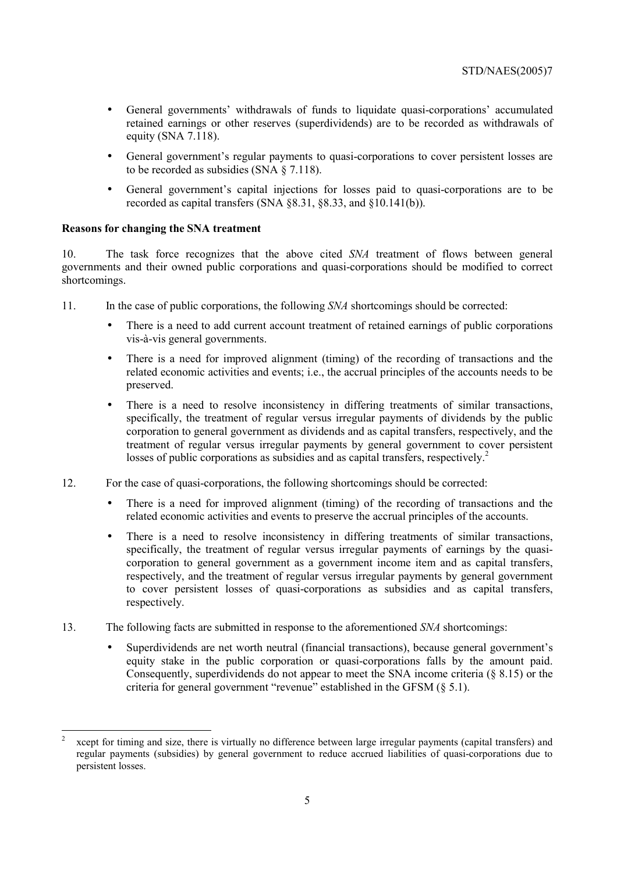- General governments' withdrawals of funds to liquidate quasi-corporations' accumulated retained earnings or other reserves (superdividends) are to be recorded as withdrawals of equity (SNA 7.118).
- General government's regular payments to quasi-corporations to cover persistent losses are to be recorded as subsidies (SNA § 7.118).
- General government's capital injections for losses paid to quasi-corporations are to be recorded as capital transfers (SNA §8.31, §8.33, and §10.141(b)).

## **Reasons for changing the SNA treatment**

 $\overline{a}$ 

10. The task force recognizes that the above cited *SNA* treatment of flows between general governments and their owned public corporations and quasi-corporations should be modified to correct shortcomings.

- 11. In the case of public corporations, the following *SNA* shortcomings should be corrected:
	- There is a need to add current account treatment of retained earnings of public corporations vis-à-vis general governments.
	- There is a need for improved alignment (timing) of the recording of transactions and the related economic activities and events; i.e., the accrual principles of the accounts needs to be preserved.
	- There is a need to resolve inconsistency in differing treatments of similar transactions, specifically, the treatment of regular versus irregular payments of dividends by the public corporation to general government as dividends and as capital transfers, respectively, and the treatment of regular versus irregular payments by general government to cover persistent losses of public corporations as subsidies and as capital transfers, respectively.<sup>2</sup>
- 12. For the case of quasi-corporations, the following shortcomings should be corrected:
	- There is a need for improved alignment (timing) of the recording of transactions and the related economic activities and events to preserve the accrual principles of the accounts.
	- There is a need to resolve inconsistency in differing treatments of similar transactions, specifically, the treatment of regular versus irregular payments of earnings by the quasicorporation to general government as a government income item and as capital transfers, respectively, and the treatment of regular versus irregular payments by general government to cover persistent losses of quasi-corporations as subsidies and as capital transfers, respectively.
- 13. The following facts are submitted in response to the aforementioned *SNA* shortcomings:
	- Superdividends are net worth neutral (financial transactions), because general government's equity stake in the public corporation or quasi-corporations falls by the amount paid. Consequently, superdividends do not appear to meet the SNA income criteria (§ 8.15) or the criteria for general government "revenue" established in the GFSM (§ 5.1).

<sup>2</sup> xcept for timing and size, there is virtually no difference between large irregular payments (capital transfers) and regular payments (subsidies) by general government to reduce accrued liabilities of quasi-corporations due to persistent losses.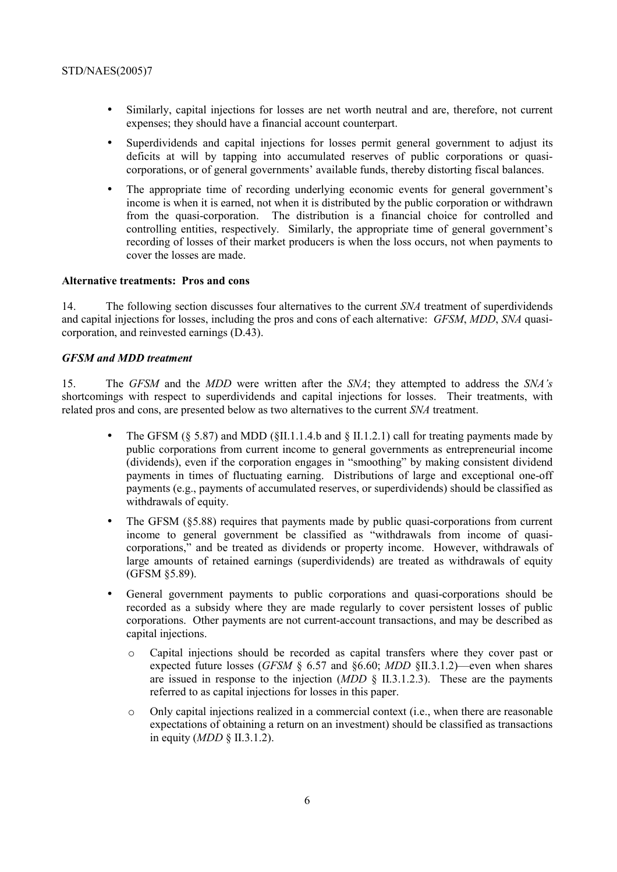- Similarly, capital injections for losses are net worth neutral and are, therefore, not current expenses; they should have a financial account counterpart.
- Superdividends and capital injections for losses permit general government to adjust its deficits at will by tapping into accumulated reserves of public corporations or quasicorporations, or of general governments' available funds, thereby distorting fiscal balances.
- The appropriate time of recording underlying economic events for general government's income is when it is earned, not when it is distributed by the public corporation or withdrawn from the quasi-corporation. The distribution is a financial choice for controlled and controlling entities, respectively. Similarly, the appropriate time of general government's recording of losses of their market producers is when the loss occurs, not when payments to cover the losses are made.

## **Alternative treatments: Pros and cons**

14. The following section discusses four alternatives to the current *SNA* treatment of superdividends and capital injections for losses, including the pros and cons of each alternative: *GFSM*, *MDD*, *SNA* quasicorporation, and reinvested earnings (D.43).

## *GFSM and MDD treatment*

15. The *GFSM* and the *MDD* were written after the *SNA*; they attempted to address the *SNA's* shortcomings with respect to superdividends and capital injections for losses. Their treatments, with related pros and cons, are presented below as two alternatives to the current *SNA* treatment.

- The GFSM ( $\S$  5.87) and MDD ( $\S$ II.1.1.4.b and  $\S$  II.1.2.1) call for treating payments made by public corporations from current income to general governments as entrepreneurial income (dividends), even if the corporation engages in "smoothing" by making consistent dividend payments in times of fluctuating earning. Distributions of large and exceptional one-off payments (e.g., payments of accumulated reserves, or superdividends) should be classified as withdrawals of equity.
- The GFSM (§5.88) requires that payments made by public quasi-corporations from current income to general government be classified as "withdrawals from income of quasicorporations," and be treated as dividends or property income. However, withdrawals of large amounts of retained earnings (superdividends) are treated as withdrawals of equity (GFSM §5.89).
- General government payments to public corporations and quasi-corporations should be recorded as a subsidy where they are made regularly to cover persistent losses of public corporations. Other payments are not current-account transactions, and may be described as capital injections.
	- o Capital injections should be recorded as capital transfers where they cover past or expected future losses (*GFSM* § 6.57 and §6.60; *MDD* §II.3.1.2)—even when shares are issued in response to the injection  $(MDD \S II.3.1.2.3)$ . These are the payments referred to as capital injections for losses in this paper.
	- o Only capital injections realized in a commercial context (i.e., when there are reasonable expectations of obtaining a return on an investment) should be classified as transactions in equity (*MDD* § II.3.1.2).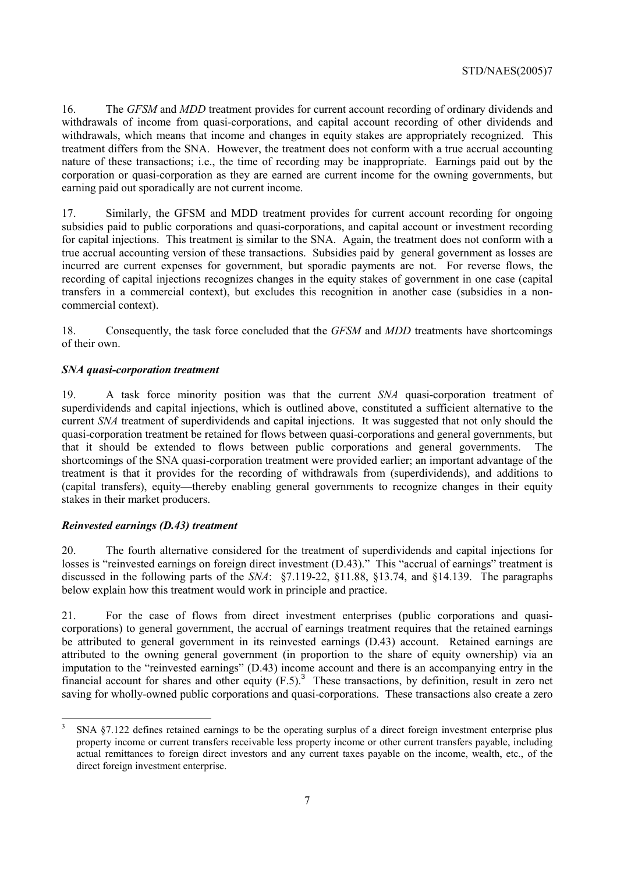16. The *GFSM* and *MDD* treatment provides for current account recording of ordinary dividends and withdrawals of income from quasi-corporations, and capital account recording of other dividends and withdrawals, which means that income and changes in equity stakes are appropriately recognized. This treatment differs from the SNA. However, the treatment does not conform with a true accrual accounting nature of these transactions; i.e., the time of recording may be inappropriate. Earnings paid out by the corporation or quasi-corporation as they are earned are current income for the owning governments, but earning paid out sporadically are not current income.

17. Similarly, the GFSM and MDD treatment provides for current account recording for ongoing subsidies paid to public corporations and quasi-corporations, and capital account or investment recording for capital injections. This treatment is similar to the SNA. Again, the treatment does not conform with a true accrual accounting version of these transactions. Subsidies paid by general government as losses are incurred are current expenses for government, but sporadic payments are not. For reverse flows, the recording of capital injections recognizes changes in the equity stakes of government in one case (capital transfers in a commercial context), but excludes this recognition in another case (subsidies in a noncommercial context).

18. Consequently, the task force concluded that the *GFSM* and *MDD* treatments have shortcomings of their own.

## *SNA quasi-corporation treatment*

19. A task force minority position was that the current *SNA* quasi-corporation treatment of superdividends and capital injections, which is outlined above, constituted a sufficient alternative to the current *SNA* treatment of superdividends and capital injections. It was suggested that not only should the quasi-corporation treatment be retained for flows between quasi-corporations and general governments, but that it should be extended to flows between public corporations and general governments. The shortcomings of the SNA quasi-corporation treatment were provided earlier; an important advantage of the treatment is that it provides for the recording of withdrawals from (superdividends), and additions to (capital transfers), equity—thereby enabling general governments to recognize changes in their equity stakes in their market producers.

### *Reinvested earnings (D.43) treatment*

20. The fourth alternative considered for the treatment of superdividends and capital injections for losses is "reinvested earnings on foreign direct investment (D.43)." This "accrual of earnings" treatment is discussed in the following parts of the *SNA*: §7.119-22, §11.88, §13.74, and §14.139. The paragraphs below explain how this treatment would work in principle and practice.

21. For the case of flows from direct investment enterprises (public corporations and quasicorporations) to general government, the accrual of earnings treatment requires that the retained earnings be attributed to general government in its reinvested earnings (D.43) account. Retained earnings are attributed to the owning general government (in proportion to the share of equity ownership) via an imputation to the "reinvested earnings" (D.43) income account and there is an accompanying entry in the financial account for shares and other equity  $(F.5)$ .<sup>3</sup> These transactions, by definition, result in zero net saving for wholly-owned public corporations and quasi-corporations. These transactions also create a zero

<sup>3</sup> SNA §7.122 defines retained earnings to be the operating surplus of a direct foreign investment enterprise plus property income or current transfers receivable less property income or other current transfers payable, including actual remittances to foreign direct investors and any current taxes payable on the income, wealth, etc., of the direct foreign investment enterprise.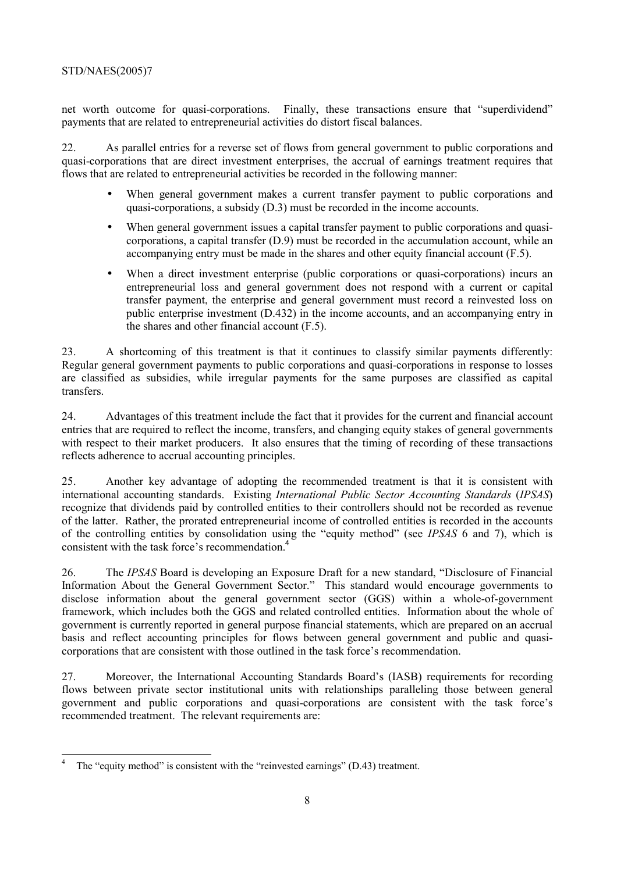net worth outcome for quasi-corporations. Finally, these transactions ensure that "superdividend" payments that are related to entrepreneurial activities do distort fiscal balances.

22. As parallel entries for a reverse set of flows from general government to public corporations and quasi-corporations that are direct investment enterprises, the accrual of earnings treatment requires that flows that are related to entrepreneurial activities be recorded in the following manner:

- When general government makes a current transfer payment to public corporations and quasi-corporations, a subsidy (D.3) must be recorded in the income accounts.
- When general government issues a capital transfer payment to public corporations and quasicorporations, a capital transfer (D.9) must be recorded in the accumulation account, while an accompanying entry must be made in the shares and other equity financial account (F.5).
- When a direct investment enterprise (public corporations or quasi-corporations) incurs an entrepreneurial loss and general government does not respond with a current or capital transfer payment, the enterprise and general government must record a reinvested loss on public enterprise investment (D.432) in the income accounts, and an accompanying entry in the shares and other financial account (F.5).

23. A shortcoming of this treatment is that it continues to classify similar payments differently: Regular general government payments to public corporations and quasi-corporations in response to losses are classified as subsidies, while irregular payments for the same purposes are classified as capital transfers.

24. Advantages of this treatment include the fact that it provides for the current and financial account entries that are required to reflect the income, transfers, and changing equity stakes of general governments with respect to their market producers. It also ensures that the timing of recording of these transactions reflects adherence to accrual accounting principles.

25. Another key advantage of adopting the recommended treatment is that it is consistent with international accounting standards. Existing *International Public Sector Accounting Standards* (*IPSAS*) recognize that dividends paid by controlled entities to their controllers should not be recorded as revenue of the latter. Rather, the prorated entrepreneurial income of controlled entities is recorded in the accounts of the controlling entities by consolidation using the "equity method" (see *IPSAS* 6 and 7), which is consistent with the task force's recommendation.<sup>4</sup>

26. The *IPSAS* Board is developing an Exposure Draft for a new standard, "Disclosure of Financial Information About the General Government Sector." This standard would encourage governments to disclose information about the general government sector (GGS) within a whole-of-government framework, which includes both the GGS and related controlled entities. Information about the whole of government is currently reported in general purpose financial statements, which are prepared on an accrual basis and reflect accounting principles for flows between general government and public and quasicorporations that are consistent with those outlined in the task force's recommendation.

27. Moreover, the International Accounting Standards Board's (IASB) requirements for recording flows between private sector institutional units with relationships paralleling those between general government and public corporations and quasi-corporations are consistent with the task force's recommended treatment. The relevant requirements are:

<sup>4</sup> The "equity method" is consistent with the "reinvested earnings" (D.43) treatment.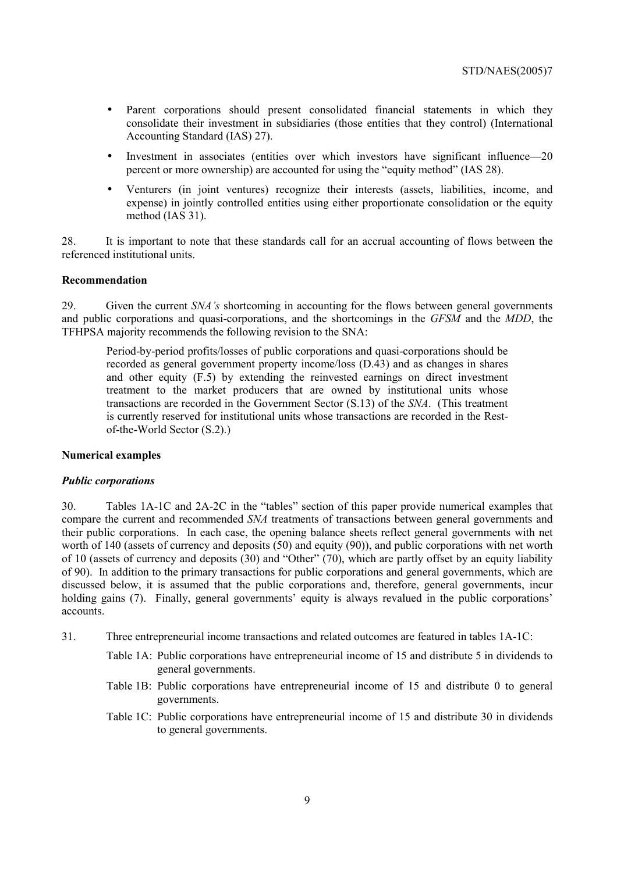- Parent corporations should present consolidated financial statements in which they consolidate their investment in subsidiaries (those entities that they control) (International Accounting Standard (IAS) 27).
- Investment in associates (entities over which investors have significant influence—20 percent or more ownership) are accounted for using the "equity method" (IAS 28).
- Venturers (in joint ventures) recognize their interests (assets, liabilities, income, and expense) in jointly controlled entities using either proportionate consolidation or the equity method (IAS 31).

28. It is important to note that these standards call for an accrual accounting of flows between the referenced institutional units.

## **Recommendation**

29. Given the current *SNA's* shortcoming in accounting for the flows between general governments and public corporations and quasi-corporations, and the shortcomings in the *GFSM* and the *MDD*, the TFHPSA majority recommends the following revision to the SNA:

Period-by-period profits/losses of public corporations and quasi-corporations should be recorded as general government property income/loss (D.43) and as changes in shares and other equity (F.5) by extending the reinvested earnings on direct investment treatment to the market producers that are owned by institutional units whose transactions are recorded in the Government Sector (S.13) of the *SNA*. (This treatment is currently reserved for institutional units whose transactions are recorded in the Restof-the-World Sector (S.2).)

#### **Numerical examples**

#### *Public corporations*

30. Tables 1A-1C and 2A-2C in the "tables" section of this paper provide numerical examples that compare the current and recommended *SNA* treatments of transactions between general governments and their public corporations. In each case, the opening balance sheets reflect general governments with net worth of 140 (assets of currency and deposits (50) and equity (90)), and public corporations with net worth of 10 (assets of currency and deposits (30) and "Other" (70), which are partly offset by an equity liability of 90). In addition to the primary transactions for public corporations and general governments, which are discussed below, it is assumed that the public corporations and, therefore, general governments, incur holding gains (7). Finally, general governments' equity is always revalued in the public corporations' accounts.

- 31. Three entrepreneurial income transactions and related outcomes are featured in tables 1A-1C:
	- Table 1A: Public corporations have entrepreneurial income of 15 and distribute 5 in dividends to general governments.
	- Table 1B: Public corporations have entrepreneurial income of 15 and distribute 0 to general governments.
	- Table 1C: Public corporations have entrepreneurial income of 15 and distribute 30 in dividends to general governments.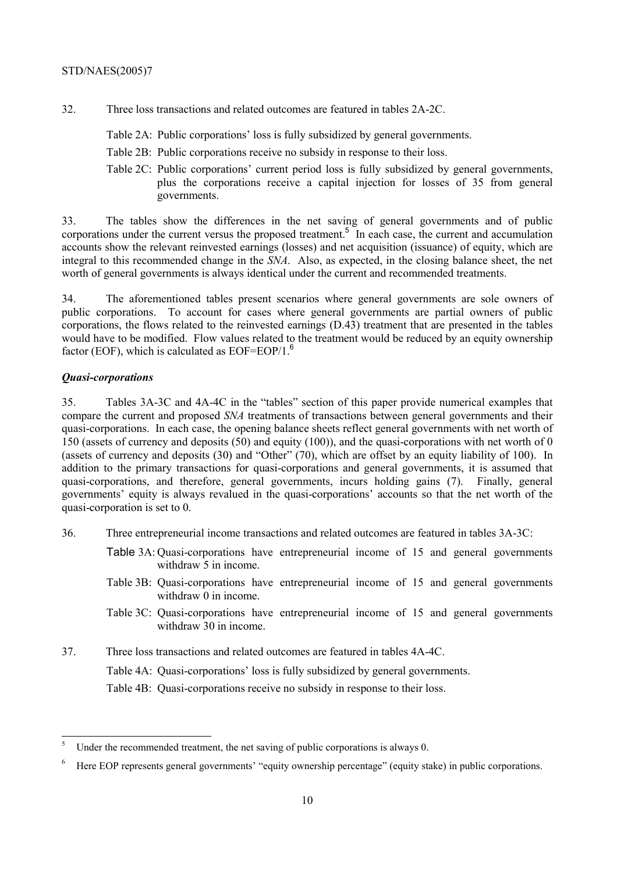- 32. Three loss transactions and related outcomes are featured in tables 2A-2C.
	- Table 2A: Public corporations' loss is fully subsidized by general governments.
	- Table 2B: Public corporations receive no subsidy in response to their loss.
	- Table 2C: Public corporations' current period loss is fully subsidized by general governments, plus the corporations receive a capital injection for losses of 35 from general governments.

33. The tables show the differences in the net saving of general governments and of public corporations under the current versus the proposed treatment.<sup>5</sup> In each case, the current and accumulation accounts show the relevant reinvested earnings (losses) and net acquisition (issuance) of equity, which are integral to this recommended change in the *SNA*. Also, as expected, in the closing balance sheet, the net worth of general governments is always identical under the current and recommended treatments.

34. The aforementioned tables present scenarios where general governments are sole owners of public corporations. To account for cases where general governments are partial owners of public corporations, the flows related to the reinvested earnings (D.43) treatment that are presented in the tables would have to be modified. Flow values related to the treatment would be reduced by an equity ownership factor (EOF), which is calculated as  $EOF = EOP/1.6$ 

## *Quasi-corporations*

35. Tables 3A-3C and 4A-4C in the "tables" section of this paper provide numerical examples that compare the current and proposed *SNA* treatments of transactions between general governments and their quasi-corporations. In each case, the opening balance sheets reflect general governments with net worth of 150 (assets of currency and deposits (50) and equity (100)), and the quasi-corporations with net worth of 0 (assets of currency and deposits (30) and "Other" (70), which are offset by an equity liability of 100). In addition to the primary transactions for quasi-corporations and general governments, it is assumed that quasi-corporations, and therefore, general governments, incurs holding gains (7). Finally, general governments' equity is always revalued in the quasi-corporations' accounts so that the net worth of the quasi-corporation is set to 0.

- 36. Three entrepreneurial income transactions and related outcomes are featured in tables 3A-3C:
	- Table 3A: Quasi-corporations have entrepreneurial income of 15 and general governments withdraw 5 in income.
	- Table 3B: Quasi-corporations have entrepreneurial income of 15 and general governments withdraw 0 in income.
	- Table 3C: Quasi-corporations have entrepreneurial income of 15 and general governments withdraw 30 in income.
- 37. Three loss transactions and related outcomes are featured in tables 4A-4C.

Table 4A: Quasi-corporations' loss is fully subsidized by general governments.

Table 4B: Quasi-corporations receive no subsidy in response to their loss.

 5 Under the recommended treatment, the net saving of public corporations is always 0.

<sup>6</sup> Here EOP represents general governments' "equity ownership percentage" (equity stake) in public corporations.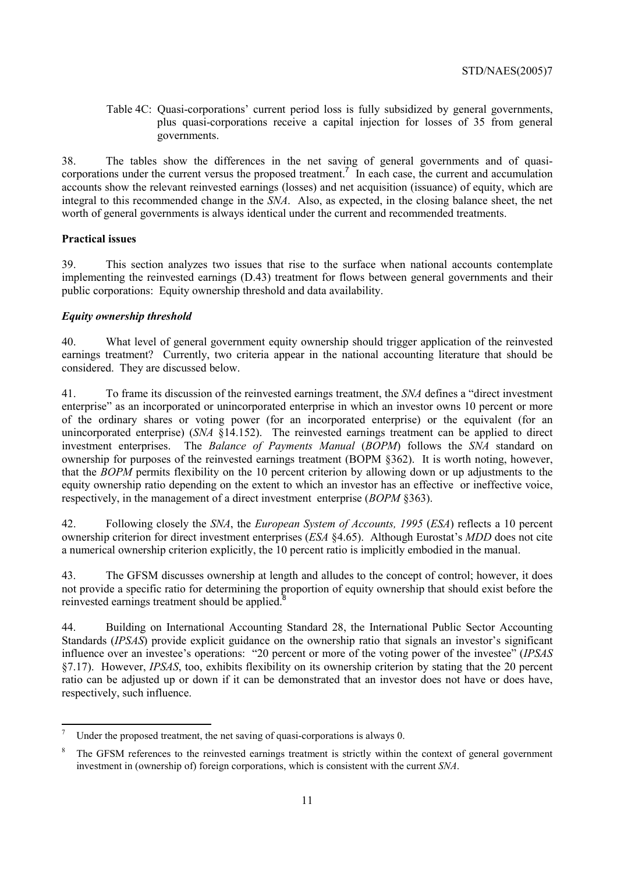Table 4C: Quasi-corporations' current period loss is fully subsidized by general governments, plus quasi-corporations receive a capital injection for losses of 35 from general governments.

38. The tables show the differences in the net saving of general governments and of quasicorporations under the current versus the proposed treatment.<sup>7</sup> In each case, the current and accumulation accounts show the relevant reinvested earnings (losses) and net acquisition (issuance) of equity, which are integral to this recommended change in the *SNA*. Also, as expected, in the closing balance sheet, the net worth of general governments is always identical under the current and recommended treatments.

# **Practical issues**

39. This section analyzes two issues that rise to the surface when national accounts contemplate implementing the reinvested earnings (D.43) treatment for flows between general governments and their public corporations: Equity ownership threshold and data availability.

# *Equity ownership threshold*

40. What level of general government equity ownership should trigger application of the reinvested earnings treatment? Currently, two criteria appear in the national accounting literature that should be considered. They are discussed below.

41. To frame its discussion of the reinvested earnings treatment, the *SNA* defines a "direct investment enterprise" as an incorporated or unincorporated enterprise in which an investor owns 10 percent or more of the ordinary shares or voting power (for an incorporated enterprise) or the equivalent (for an unincorporated enterprise) (*SNA* §14.152). The reinvested earnings treatment can be applied to direct investment enterprises. The *Balance of Payments Manual* (*BOPM*) follows the *SNA* standard on ownership for purposes of the reinvested earnings treatment (BOPM §362). It is worth noting, however, that the *BOPM* permits flexibility on the 10 percent criterion by allowing down or up adjustments to the equity ownership ratio depending on the extent to which an investor has an effective or ineffective voice, respectively, in the management of a direct investment enterprise (*BOPM* §363).

42. Following closely the *SNA*, the *European System of Accounts, 1995* (*ESA*) reflects a 10 percent ownership criterion for direct investment enterprises (*ESA* §4.65). Although Eurostat's *MDD* does not cite a numerical ownership criterion explicitly, the 10 percent ratio is implicitly embodied in the manual.

43. The GFSM discusses ownership at length and alludes to the concept of control; however, it does not provide a specific ratio for determining the proportion of equity ownership that should exist before the reinvested earnings treatment should be applied.<sup>8</sup>

44. Building on International Accounting Standard 28, the International Public Sector Accounting Standards (*IPSAS*) provide explicit guidance on the ownership ratio that signals an investor's significant influence over an investee's operations: "20 percent or more of the voting power of the investee" (*IPSAS* §7.17). However, *IPSAS*, too, exhibits flexibility on its ownership criterion by stating that the 20 percent ratio can be adjusted up or down if it can be demonstrated that an investor does not have or does have, respectively, such influence.

<sup>&</sup>lt;sup>-</sup> Under the proposed treatment, the net saving of quasi-corporations is always 0.

<sup>8</sup> The GFSM references to the reinvested earnings treatment is strictly within the context of general government investment in (ownership of) foreign corporations, which is consistent with the current *SNA*.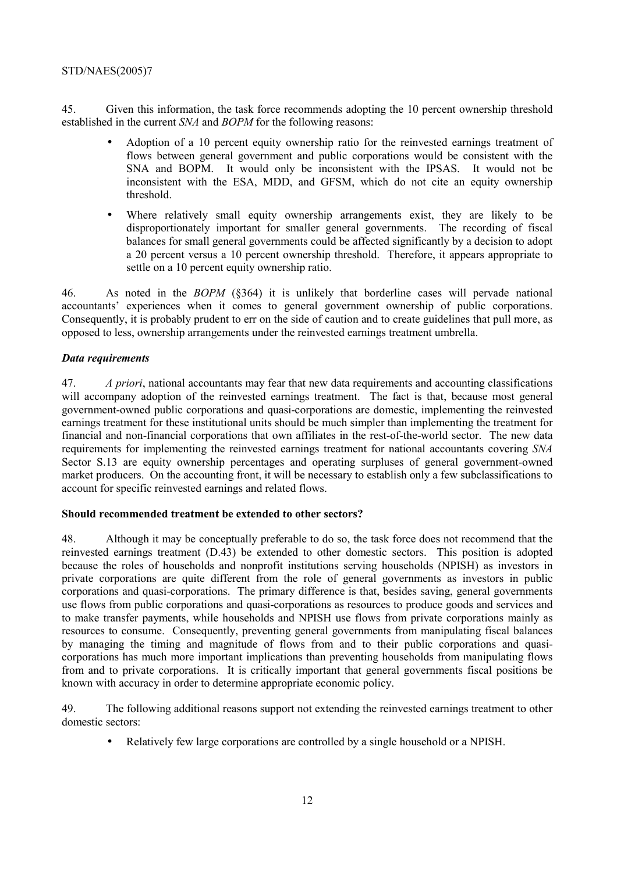45. Given this information, the task force recommends adopting the 10 percent ownership threshold established in the current *SNA* and *BOPM* for the following reasons:

- Adoption of a 10 percent equity ownership ratio for the reinvested earnings treatment of flows between general government and public corporations would be consistent with the SNA and BOPM. It would only be inconsistent with the IPSAS. It would not be inconsistent with the ESA, MDD, and GFSM, which do not cite an equity ownership threshold.
- Where relatively small equity ownership arrangements exist, they are likely to be disproportionately important for smaller general governments. The recording of fiscal balances for small general governments could be affected significantly by a decision to adopt a 20 percent versus a 10 percent ownership threshold. Therefore, it appears appropriate to settle on a 10 percent equity ownership ratio.

46. As noted in the *BOPM* (§364) it is unlikely that borderline cases will pervade national accountants' experiences when it comes to general government ownership of public corporations. Consequently, it is probably prudent to err on the side of caution and to create guidelines that pull more, as opposed to less, ownership arrangements under the reinvested earnings treatment umbrella.

## *Data requirements*

47. *A priori*, national accountants may fear that new data requirements and accounting classifications will accompany adoption of the reinvested earnings treatment. The fact is that, because most general government-owned public corporations and quasi-corporations are domestic, implementing the reinvested earnings treatment for these institutional units should be much simpler than implementing the treatment for financial and non-financial corporations that own affiliates in the rest-of-the-world sector. The new data requirements for implementing the reinvested earnings treatment for national accountants covering *SNA* Sector S.13 are equity ownership percentages and operating surpluses of general government-owned market producers. On the accounting front, it will be necessary to establish only a few subclassifications to account for specific reinvested earnings and related flows.

## **Should recommended treatment be extended to other sectors?**

48. Although it may be conceptually preferable to do so, the task force does not recommend that the reinvested earnings treatment (D.43) be extended to other domestic sectors. This position is adopted because the roles of households and nonprofit institutions serving households (NPISH) as investors in private corporations are quite different from the role of general governments as investors in public corporations and quasi-corporations. The primary difference is that, besides saving, general governments use flows from public corporations and quasi-corporations as resources to produce goods and services and to make transfer payments, while households and NPISH use flows from private corporations mainly as resources to consume. Consequently, preventing general governments from manipulating fiscal balances by managing the timing and magnitude of flows from and to their public corporations and quasicorporations has much more important implications than preventing households from manipulating flows from and to private corporations. It is critically important that general governments fiscal positions be known with accuracy in order to determine appropriate economic policy.

49. The following additional reasons support not extending the reinvested earnings treatment to other domestic sectors:

• Relatively few large corporations are controlled by a single household or a NPISH.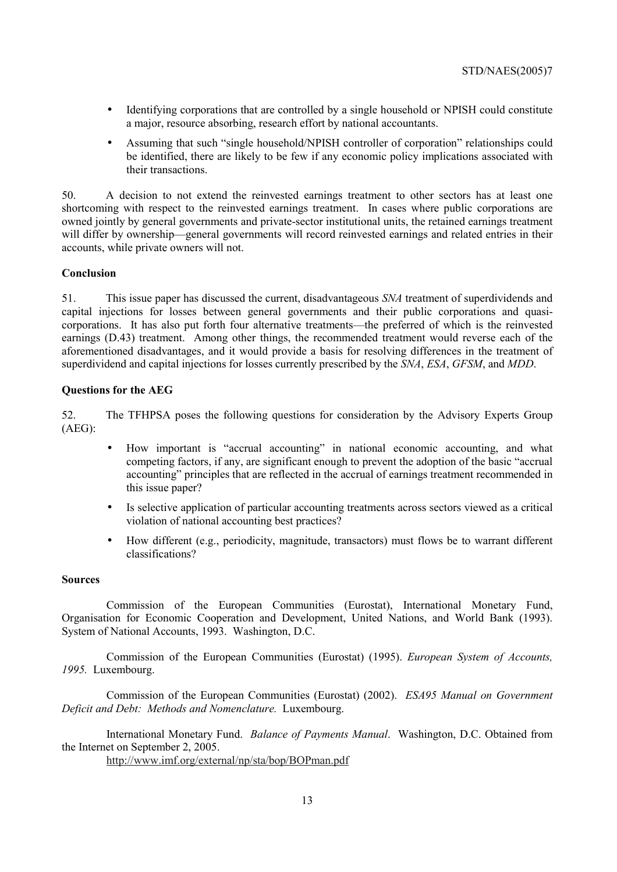- Identifying corporations that are controlled by a single household or NPISH could constitute a major, resource absorbing, research effort by national accountants.
- Assuming that such "single household/NPISH controller of corporation" relationships could be identified, there are likely to be few if any economic policy implications associated with their transactions.

50. A decision to not extend the reinvested earnings treatment to other sectors has at least one shortcoming with respect to the reinvested earnings treatment. In cases where public corporations are owned jointly by general governments and private-sector institutional units, the retained earnings treatment will differ by ownership—general governments will record reinvested earnings and related entries in their accounts, while private owners will not.

## **Conclusion**

51. This issue paper has discussed the current, disadvantageous *SNA* treatment of superdividends and capital injections for losses between general governments and their public corporations and quasicorporations. It has also put forth four alternative treatments—the preferred of which is the reinvested earnings (D.43) treatment. Among other things, the recommended treatment would reverse each of the aforementioned disadvantages, and it would provide a basis for resolving differences in the treatment of superdividend and capital injections for losses currently prescribed by the *SNA*, *ESA*, *GFSM*, and *MDD*.

## **Questions for the AEG**

52. The TFHPSA poses the following questions for consideration by the Advisory Experts Group  $(AEG)$ <sup>.</sup>

- How important is "accrual accounting" in national economic accounting, and what competing factors, if any, are significant enough to prevent the adoption of the basic "accrual accounting" principles that are reflected in the accrual of earnings treatment recommended in this issue paper?
- Is selective application of particular accounting treatments across sectors viewed as a critical violation of national accounting best practices?
- How different (e.g., periodicity, magnitude, transactors) must flows be to warrant different classifications?

## **Sources**

Commission of the European Communities (Eurostat), International Monetary Fund, Organisation for Economic Cooperation and Development, United Nations, and World Bank (1993). System of National Accounts, 1993. Washington, D.C.

Commission of the European Communities (Eurostat) (1995). *European System of Accounts, 1995.* Luxembourg.

Commission of the European Communities (Eurostat) (2002). *ESA95 Manual on Government Deficit and Debt: Methods and Nomenclature.* Luxembourg.

International Monetary Fund. *Balance of Payments Manual*. Washington, D.C. Obtained from the Internet on September 2, 2005.

http://www.imf.org/external/np/sta/bop/BOPman.pdf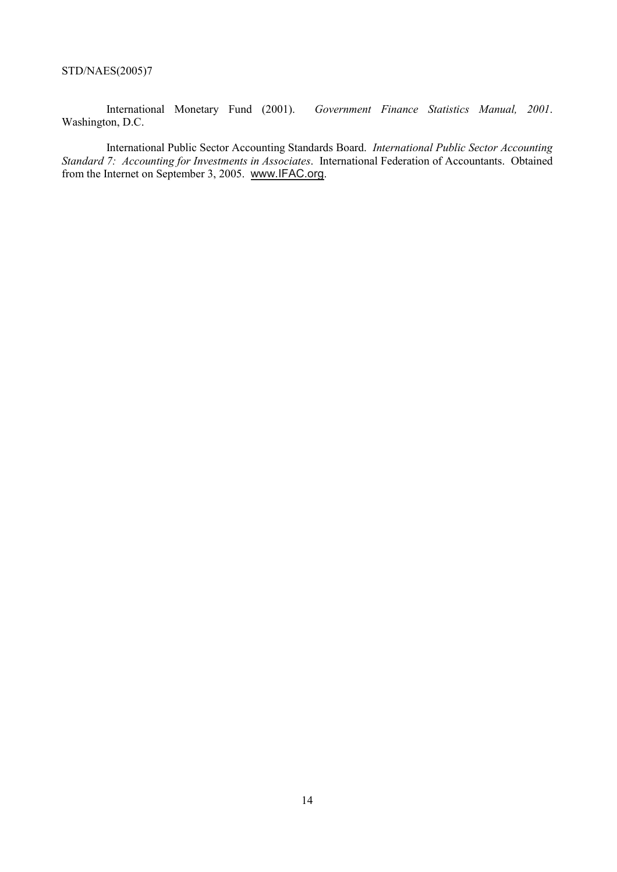International Monetary Fund (2001). *Government Finance Statistics Manual, 2001*. Washington, D.C.

International Public Sector Accounting Standards Board. *International Public Sector Accounting Standard 7: Accounting for Investments in Associates*. International Federation of Accountants. Obtained from the Internet on September 3, 2005. www.IFAC.org.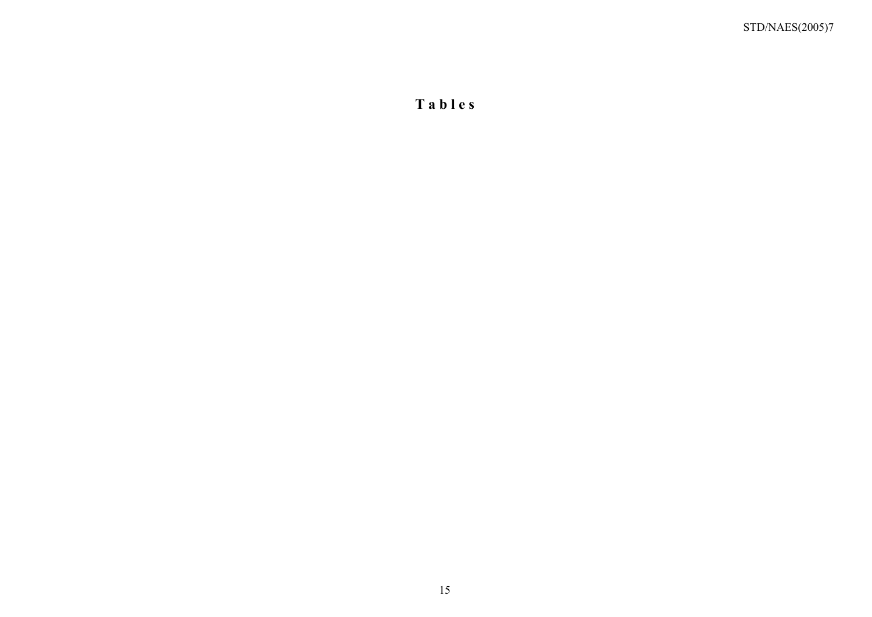**T a b l e s**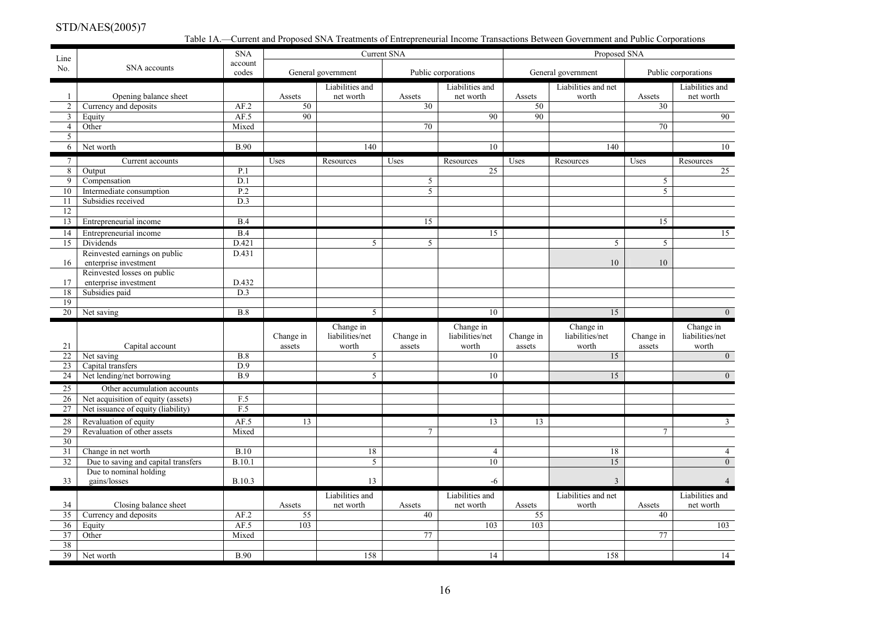Table 1A.—Current and Proposed SNA Treatments of Entrepreneurial Income Transactions Between Government and Public Corporations

| Line                  |                                     | <b>SNA</b>       |                     |                                       | <b>Current SNA</b>  |                                       |                     | Proposed SNA                          |                     |                                       |
|-----------------------|-------------------------------------|------------------|---------------------|---------------------------------------|---------------------|---------------------------------------|---------------------|---------------------------------------|---------------------|---------------------------------------|
| No.                   | SNA accounts                        | account<br>codes |                     | General government                    |                     | Public corporations                   |                     | General government                    |                     | Public corporations                   |
|                       |                                     |                  |                     | Liabilities and                       |                     | Liabilities and                       |                     | Liabilities and net                   |                     | Liabilities and                       |
| -1                    | Opening balance sheet               |                  | Assets              | net worth                             | Assets              | net worth                             | Assets              | worth                                 | Assets              | net worth                             |
| $\overline{2}$        | Currency and deposits               | AF.2             | 50                  |                                       | 30                  |                                       | 50                  |                                       | 30                  |                                       |
| $\mathbf{3}$          | Equity                              | AF.5             | 90                  |                                       |                     | 90                                    | 90                  |                                       |                     | 90                                    |
| $\overline{4}$        | Other                               | Mixed            |                     |                                       | 70                  |                                       |                     |                                       | 70                  |                                       |
| 5 <sup>5</sup>        |                                     |                  |                     |                                       |                     |                                       |                     |                                       |                     |                                       |
| 6                     | Net worth                           | <b>B.90</b>      |                     | $\overline{140}$                      |                     | 10                                    |                     | $\overline{140}$                      |                     | 10                                    |
| $7\overline{ }$       | Current accounts                    |                  | Uses                | Resources                             | Uses                | Resources                             | Uses                | Resources                             | Uses                | Resources                             |
| 8                     | Output                              | P.1              |                     |                                       |                     | 25                                    |                     |                                       |                     | 25                                    |
| 9                     | Compensation                        | D.1              |                     |                                       | 5                   |                                       |                     |                                       | 5                   |                                       |
| 10                    | Intermediate consumption            | P.2              |                     |                                       | 5                   |                                       |                     |                                       | 5                   |                                       |
| 11                    | Subsidies received                  | D.3              |                     |                                       |                     |                                       |                     |                                       |                     |                                       |
| 12                    |                                     |                  |                     |                                       |                     |                                       |                     |                                       |                     |                                       |
| 13                    | Entrepreneurial income              | B.4              |                     |                                       | 15                  |                                       |                     |                                       | 15                  |                                       |
| 14                    | Entrepreneurial income              | B.4              |                     |                                       |                     | 15                                    |                     |                                       |                     | 15                                    |
| 15                    | Dividends                           | D.421            |                     | 5                                     | 5                   |                                       |                     | 5                                     | 5                   |                                       |
|                       | Reinvested earnings on public       | D.431            |                     |                                       |                     |                                       |                     |                                       |                     |                                       |
| 16                    | enterprise investment               |                  |                     |                                       |                     |                                       |                     | 10                                    | 10                  |                                       |
|                       | Reinvested losses on public         |                  |                     |                                       |                     |                                       |                     |                                       |                     |                                       |
| 17                    | enterprise investment               | D.432            |                     |                                       |                     |                                       |                     |                                       |                     |                                       |
| 18                    | Subsidies paid                      | D.3              |                     |                                       |                     |                                       |                     |                                       |                     |                                       |
| 19<br>$\overline{20}$ |                                     | B.8              |                     |                                       |                     | 10                                    |                     | 15                                    |                     | $\overline{0}$                        |
|                       | Net saving                          |                  |                     | 5                                     |                     |                                       |                     |                                       |                     |                                       |
| 21                    | Capital account                     |                  | Change in<br>assets | Change in<br>liabilities/net<br>worth | Change in<br>assets | Change in<br>liabilities/net<br>worth | Change in<br>assets | Change in<br>liabilities/net<br>worth | Change in<br>assets | Change in<br>liabilities/net<br>worth |
| 22                    | Net saving                          | B.8              |                     | 5                                     |                     | 10                                    |                     | 15                                    |                     | $\overline{0}$                        |
| 23                    | Capital transfers                   | D.9              |                     |                                       |                     |                                       |                     |                                       |                     |                                       |
| 24                    | Net lending/net borrowing           | $\overline{B.9}$ |                     | $\overline{5}$                        |                     | 10                                    |                     | 15                                    |                     | $\overline{0}$                        |
| 25                    | Other accumulation accounts         |                  |                     |                                       |                     |                                       |                     |                                       |                     |                                       |
| 26                    | Net acquisition of equity (assets)  | F.5              |                     |                                       |                     |                                       |                     |                                       |                     |                                       |
| 27                    | Net issuance of equity (liability)  | F.5              |                     |                                       |                     |                                       |                     |                                       |                     |                                       |
| 28                    | Revaluation of equity               | AF.5             | 13                  |                                       |                     | 13                                    | 13                  |                                       |                     | $\mathfrak{Z}$                        |
| 29                    | Revaluation of other assets         | Mixed            |                     |                                       | $\overline{7}$      |                                       |                     |                                       | $\overline{7}$      |                                       |
| 30                    |                                     |                  |                     |                                       |                     |                                       |                     |                                       |                     |                                       |
| 31                    | Change in net worth                 | <b>B.10</b>      |                     | 18                                    |                     | $\overline{4}$                        |                     | 18                                    |                     | $\overline{4}$                        |
| 32                    | Due to saving and capital transfers | <b>B.10.1</b>    |                     | 5                                     |                     | 10                                    |                     | 15                                    |                     | $\overline{0}$                        |
|                       | Due to nominal holding              |                  |                     |                                       |                     |                                       |                     |                                       |                     |                                       |
| 33                    | gains/losses                        | <b>B.10.3</b>    |                     | 13                                    |                     | $-6$                                  |                     | $\overline{3}$                        |                     |                                       |
|                       |                                     |                  |                     | Liabilities and                       |                     | Liabilities and                       |                     | Liabilities and net                   |                     | Liabilities and                       |
| 34                    | Closing balance sheet               |                  | Assets              | net worth                             | Assets              | net worth                             | Assets              | worth                                 | Assets              | net worth                             |
| 35                    | Currency and deposits               | AF.2             | 55                  |                                       | 40                  |                                       | 55                  |                                       | 40                  |                                       |
| 36                    | Equity                              | AF.5             | 103                 |                                       |                     | 103                                   | 103                 |                                       |                     | 103                                   |
| 37                    | Other                               | Mixed            |                     |                                       | 77                  |                                       |                     |                                       | 77                  |                                       |
| 38                    |                                     |                  |                     |                                       |                     |                                       |                     |                                       |                     |                                       |
| 39                    | Net worth                           | <b>B.90</b>      |                     | 158                                   |                     | 14                                    |                     | 158                                   |                     | 14                                    |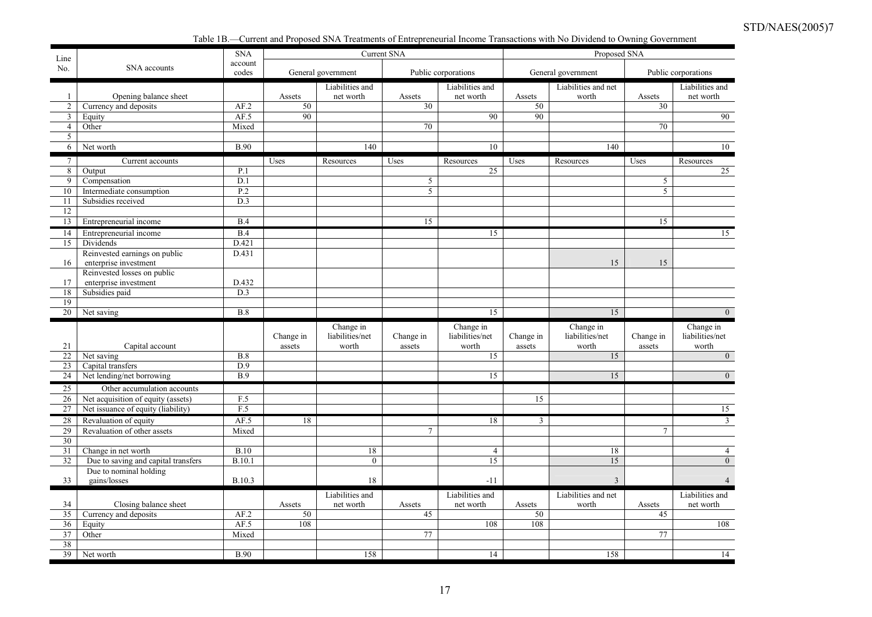Table 1B.—Current and Proposed SNA Treatments of Entrepreneurial Income Transactions with No Dividend to Owning Government

| Line            |                                     | <b>SNA</b>       |           |                              | <b>Current SNA</b> |                              |           | Proposed SNA                 |                |                              |
|-----------------|-------------------------------------|------------------|-----------|------------------------------|--------------------|------------------------------|-----------|------------------------------|----------------|------------------------------|
| No.             | SNA accounts                        | account<br>codes |           | General government           |                    | Public corporations          |           | General government           |                | Public corporations          |
|                 |                                     |                  |           | Liabilities and              |                    | Liabilities and              |           | Liabilities and net          |                | Liabilities and              |
| $\overline{1}$  | Opening balance sheet               |                  | Assets    | net worth                    | Assets             | net worth                    | Assets    | worth                        | Assets         | net worth                    |
| $\overline{2}$  | Currency and deposits               | AF.2             | 50        |                              | 30                 |                              | 50        |                              | 30             |                              |
| $\mathbf{3}$    | Equity                              | AF.5             | 90        |                              |                    | 90                           | 90        |                              |                | 90                           |
| $\overline{4}$  | Other                               | Mixed            |           |                              | 70                 |                              |           |                              | 70             |                              |
| 5               |                                     |                  |           |                              |                    |                              |           |                              |                |                              |
| 6               | Net worth                           | <b>B.90</b>      |           | $\overline{140}$             |                    | 10                           |           | $\overline{140}$             |                | 10                           |
| $7\overline{ }$ | Current accounts                    |                  | Uses      | Resources                    | Uses               | Resources                    | Uses      | Resources                    | Uses           | Resources                    |
| 8               | Output                              | P.1              |           |                              |                    | 25                           |           |                              |                | 25                           |
| 9               | Compensation                        | D.1              |           |                              | 5                  |                              |           |                              | 5              |                              |
| 10              | Intermediate consumption            | P.2              |           |                              | 5                  |                              |           |                              | 5              |                              |
| 11              | Subsidies received                  | D.3              |           |                              |                    |                              |           |                              |                |                              |
| 12              |                                     |                  |           |                              |                    |                              |           |                              |                |                              |
| 13              | Entrepreneurial income              | B.4              |           |                              | 15                 |                              |           |                              | 15             |                              |
| 14              | Entrepreneurial income              | B.4              |           |                              |                    | 15                           |           |                              |                | 15                           |
| 15              | Dividends                           | D.421            |           |                              |                    |                              |           |                              |                |                              |
|                 | Reinvested earnings on public       | D.431            |           |                              |                    |                              |           |                              |                |                              |
| 16              | enterprise investment               |                  |           |                              |                    |                              |           | 15                           | 15             |                              |
|                 | Reinvested losses on public         |                  |           |                              |                    |                              |           |                              |                |                              |
| 17              | enterprise investment               | D.432<br>D.3     |           |                              |                    |                              |           |                              |                |                              |
| 18<br>19        | Subsidies paid                      |                  |           |                              |                    |                              |           |                              |                |                              |
| 20              | Net saving                          | B.8              |           |                              |                    | 15                           |           | 15                           |                | $\Omega$                     |
|                 |                                     |                  |           |                              |                    |                              |           |                              |                |                              |
|                 |                                     |                  | Change in | Change in<br>liabilities/net | Change in          | Change in<br>liabilities/net | Change in | Change in<br>liabilities/net | Change in      | Change in<br>liabilities/net |
| 21              | Capital account                     |                  | assets    | worth                        | assets             | worth                        | assets    | worth                        | assets         | worth                        |
| 22              | Net saving                          | B.8              |           |                              |                    | 15                           |           | 15                           |                | $\overline{0}$               |
| 23              | Capital transfers                   | D.9              |           |                              |                    |                              |           |                              |                |                              |
| 24              | Net lending/net borrowing           | <b>B.9</b>       |           |                              |                    | 15                           |           | 15                           |                | $\overline{0}$               |
| $\overline{25}$ | Other accumulation accounts         |                  |           |                              |                    |                              |           |                              |                |                              |
| 26              | Net acquisition of equity (assets)  | F.5              |           |                              |                    |                              | 15        |                              |                |                              |
| 27              | Net issuance of equity (liability)  | F.5              |           |                              |                    |                              |           |                              |                | 15                           |
| 28              | Revaluation of equity               | AF.5             | 18        |                              |                    | 18                           | 3         |                              |                | $\mathbf{3}$                 |
| 29              | Revaluation of other assets         | Mixed            |           |                              | 7                  |                              |           |                              | $\overline{7}$ |                              |
| $\overline{30}$ |                                     |                  |           |                              |                    |                              |           |                              |                |                              |
| 31              | Change in net worth                 | B.10             |           | 18                           |                    | $\overline{4}$               |           | 18                           |                | $\overline{4}$               |
| 32              | Due to saving and capital transfers | <b>B.10.1</b>    |           | $\mathbf{0}$                 |                    | 15                           |           | 15                           |                | $\overline{0}$               |
|                 | Due to nominal holding              |                  |           |                              |                    |                              |           |                              |                |                              |
| 33              | gains/losses                        | B.10.3           |           | 18                           |                    | $-11$                        |           | 3                            |                |                              |
|                 |                                     |                  |           | Liabilities and              |                    | Liabilities and              |           | Liabilities and net          |                | Liabilities and              |
| 34              | Closing balance sheet               |                  | Assets    | net worth                    | Assets             | net worth                    | Assets    | worth                        | Assets         | net worth                    |
| 35              | Currency and deposits               | AF.2             | 50        |                              | 45                 |                              | 50        |                              | 45             |                              |
| 36              | Equity                              | AF.5             | 108       |                              |                    | 108                          | 108       |                              |                | 108                          |
| 37              | Other                               | Mixed            |           |                              | 77                 |                              |           |                              | 77             |                              |
| 38              |                                     |                  |           |                              |                    |                              |           |                              |                |                              |
| 39              | Net worth                           | <b>B.90</b>      |           | 158                          |                    | 14                           |           | 158                          |                | 14                           |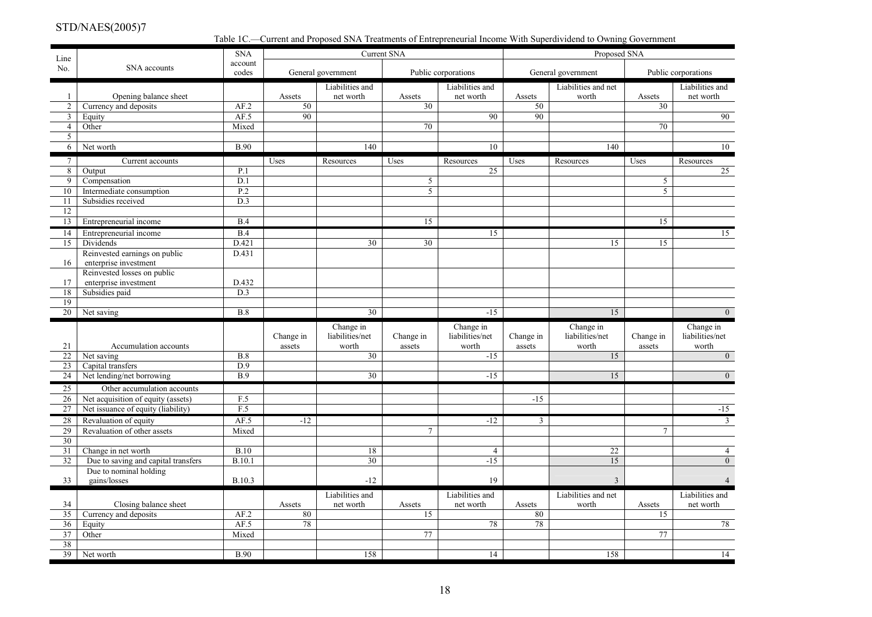Table 1C.—Current and Proposed SNA Treatments of Entrepreneurial Income With Superdividend to Owning Government

| Line                              |                                     | <b>SNA</b>    |           |                    | <b>Current SNA</b> |                     |                | Proposed SNA        |                 |                         |
|-----------------------------------|-------------------------------------|---------------|-----------|--------------------|--------------------|---------------------|----------------|---------------------|-----------------|-------------------------|
| No.                               | SNA accounts                        | account       |           |                    |                    |                     |                |                     |                 |                         |
|                                   |                                     | codes         |           | General government |                    | Public corporations |                | General government  |                 | Public corporations     |
|                                   |                                     |               |           | Liabilities and    |                    | Liabilities and     |                | Liabilities and net |                 | Liabilities and         |
| -1                                | Opening balance sheet               |               | Assets    | net worth          | Assets             | net worth           | Assets         | worth               | Assets          | net worth               |
| $\overline{2}$                    | Currency and deposits               | AF.2          | 50        |                    | $\overline{30}$    |                     | 50             |                     | $\overline{30}$ |                         |
| $\mathfrak{Z}$<br>$\overline{4}$  | Equity                              | AF.5          | 90        |                    | 70                 | 90                  | 90             |                     |                 | 90                      |
|                                   | Other                               | Mixed         |           |                    |                    |                     |                |                     | 70              |                         |
| 5<br>6                            | Net worth                           | <b>B.90</b>   |           | 140                |                    | 10                  |                | 140                 |                 | 10                      |
|                                   |                                     |               |           |                    |                    |                     |                |                     |                 |                         |
| $7\overline{ }$<br>$\overline{8}$ | Current accounts<br>Output          | P.1           | Uses      | Resources          | Uses               | Resources<br>25     | Uses           | Resources           | Uses            | Resources<br>25         |
| 9                                 | Compensation                        | D.1           |           |                    | 5                  |                     |                |                     | 5               |                         |
| 10                                | Intermediate consumption            | P.2           |           |                    | 5                  |                     |                |                     | $\mathfrak{S}$  |                         |
| 11                                | Subsidies received                  | D.3           |           |                    |                    |                     |                |                     |                 |                         |
| 12                                |                                     |               |           |                    |                    |                     |                |                     |                 |                         |
| 13                                | Entrepreneurial income              | B.4           |           |                    | 15                 |                     |                |                     | 15              |                         |
|                                   |                                     |               |           |                    |                    |                     |                |                     |                 |                         |
| 14<br>15                          | Entrepreneurial income<br>Dividends | B.4<br>D.421  |           | 30                 | 30                 | 15                  |                | 15                  | 15              | 15                      |
|                                   | Reinvested earnings on public       | D.431         |           |                    |                    |                     |                |                     |                 |                         |
|                                   | enterprise investment               |               |           |                    |                    |                     |                |                     |                 |                         |
| 16                                | Reinvested losses on public         |               |           |                    |                    |                     |                |                     |                 |                         |
| 17                                | enterprise investment               | D.432         |           |                    |                    |                     |                |                     |                 |                         |
| 18                                | Subsidies paid                      | D.3           |           |                    |                    |                     |                |                     |                 |                         |
| 19                                |                                     |               |           |                    |                    |                     |                |                     |                 |                         |
| 20                                | Net saving                          | B.8           |           | $\overline{30}$    |                    | $-15$               |                | 15                  |                 | $\overline{0}$          |
|                                   |                                     |               |           | Change in          |                    | Change in           |                | Change in           |                 | Change in               |
|                                   |                                     |               | Change in | liabilities/net    | Change in          | liabilities/net     | Change in      | liabilities/net     | Change in       | liabilities/net         |
| 21                                | Accumulation accounts               |               | assets    | worth              | assets             | worth               | assets         | worth               | assets          | worth                   |
| 22                                | Net saving                          | B.8           |           | 30                 |                    | $-15$               |                | 15                  |                 | $\overline{0}$          |
| 23                                | Capital transfers                   | D.9           |           |                    |                    |                     |                |                     |                 |                         |
| 24                                | Net lending/net borrowing           | <b>B.9</b>    |           | 30                 |                    | $-15$               |                | 15                  |                 | $\overline{0}$          |
| 25                                | Other accumulation accounts         |               |           |                    |                    |                     |                |                     |                 |                         |
| 26                                | Net acquisition of equity (assets)  | F.5           |           |                    |                    |                     | $-15$          |                     |                 |                         |
| 27                                | Net issuance of equity (liability)  | F.5           |           |                    |                    |                     |                |                     |                 | $-15$                   |
| 28                                | Revaluation of equity               | AF.5          | $-12$     |                    |                    | $-12$               | $\mathfrak{Z}$ |                     |                 | $\overline{\mathbf{3}}$ |
| 29                                | Revaluation of other assets         | Mixed         |           |                    | 7                  |                     |                |                     | $\tau$          |                         |
| $\overline{30}$                   |                                     |               |           |                    |                    |                     |                |                     |                 |                         |
| 31                                | Change in net worth                 | B.10          |           | 18                 |                    | $\overline{4}$      |                | 22                  |                 | $\overline{4}$          |
| 32                                | Due to saving and capital transfers | <b>B.10.1</b> |           | 30                 |                    | $-15$               |                | 15                  |                 | $\overline{0}$          |
|                                   | Due to nominal holding              |               |           |                    |                    |                     |                |                     |                 |                         |
| 33                                | gains/losses                        | B.10.3        |           | $-12$              |                    | 19                  |                | $\overline{3}$      |                 |                         |
|                                   |                                     |               |           | Liabilities and    |                    | Liabilities and     |                | Liabilities and net |                 | Liabilities and         |
| 34                                | Closing balance sheet               |               | Assets    | net worth          | Assets             | net worth           | Assets         | worth               | Assets          | net worth               |
| 35                                | Currency and deposits               | AF.2          | 80        |                    | 15                 |                     | 80             |                     | 15              |                         |
| 36                                | Equity                              | AF.5          | 78        |                    |                    | 78                  | 78             |                     |                 | 78                      |
| 37                                | Other                               | Mixed         |           |                    | 77                 |                     |                |                     | $\overline{77}$ |                         |
| 38                                |                                     |               |           |                    |                    |                     |                |                     |                 |                         |
| 39                                | Net worth                           | <b>B.90</b>   |           | 158                |                    | 14                  |                | 158                 |                 | 14                      |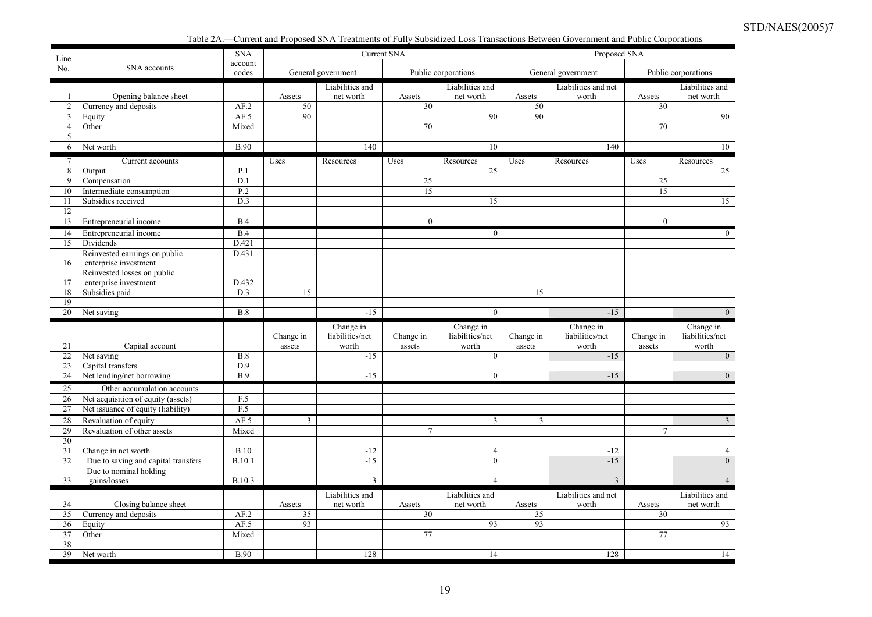Table 2A.—Current and Proposed SNA Treatments of Fully Subsidized Loss Transactions Between Government and Public Corporations

| Line            |                                         | <b>SNA</b>            |           |                              | <b>Current SNA</b> |                              |           | Proposed SNA        |           |                              |
|-----------------|-----------------------------------------|-----------------------|-----------|------------------------------|--------------------|------------------------------|-----------|---------------------|-----------|------------------------------|
| No.             | SNA accounts                            | account<br>codes      |           | General government           |                    | Public corporations          |           | General government  |           | Public corporations          |
|                 |                                         |                       |           | Liabilities and              |                    | Liabilities and              |           | Liabilities and net |           | Liabilities and              |
| $\overline{1}$  | Opening balance sheet                   |                       | Assets    | net worth                    | Assets             | net worth                    | Assets    | worth               | Assets    | net worth                    |
| $\overline{2}$  | Currency and deposits                   | AF.2                  | 50        |                              | 30                 |                              | 50        |                     | 30        |                              |
| $\mathbf{3}$    | Equity                                  | AF.5                  | 90        |                              |                    | 90                           | 90        |                     |           | 90                           |
| $\overline{4}$  | Other                                   | Mixed                 |           |                              | 70                 |                              |           |                     | 70        |                              |
| 5               |                                         |                       |           |                              |                    |                              |           |                     |           |                              |
| 6               | Net worth                               | <b>B.90</b>           |           | 140                          |                    | 10                           |           | 140                 |           | 10                           |
| $7\phantom{.0}$ | Current accounts                        |                       | Uses      | Resources                    | Uses               | Resources                    | Uses      | Resources           | Uses      | Resources                    |
| 8               | Output                                  | P.1                   |           |                              |                    | 25                           |           |                     |           | 25                           |
| 9               | Compensation                            | D.1                   |           |                              | 25                 |                              |           |                     | 25        |                              |
| 10              | Intermediate consumption                | P.2                   |           |                              | 15                 |                              |           |                     | 15        |                              |
| 11              | Subsidies received                      | D.3                   |           |                              |                    | 15                           |           |                     |           | 15                           |
| 12              |                                         |                       |           |                              |                    |                              |           |                     |           |                              |
| 13              | Entrepreneurial income                  | B.4                   |           |                              | $\mathbf{0}$       |                              |           |                     | $\Omega$  |                              |
| 14              | Entrepreneurial income                  | B.4                   |           |                              |                    | $\mathbf{0}$                 |           |                     |           | $\theta$                     |
| 15              | Dividends                               | D.421                 |           |                              |                    |                              |           |                     |           |                              |
|                 | Reinvested earnings on public           | D.431                 |           |                              |                    |                              |           |                     |           |                              |
| 16              | enterprise investment                   |                       |           |                              |                    |                              |           |                     |           |                              |
|                 | Reinvested losses on public             |                       |           |                              |                    |                              |           |                     |           |                              |
| 17<br>18        | enterprise investment<br>Subsidies paid | D.432<br>D.3          | 15        |                              |                    |                              | 15        |                     |           |                              |
| 19              |                                         |                       |           |                              |                    |                              |           |                     |           |                              |
| $\overline{20}$ | Net saving                              | B.8                   |           | $-15$                        |                    | $\overline{0}$               |           | $-15$               |           | $\overline{0}$               |
|                 |                                         |                       |           |                              |                    |                              |           | Change in           |           |                              |
|                 |                                         |                       | Change in | Change in<br>liabilities/net | Change in          | Change in<br>liabilities/net | Change in | liabilities/net     | Change in | Change in<br>liabilities/net |
| 21              | Capital account                         |                       | assets    | worth                        | assets             | worth                        | assets    | worth               | assets    | worth                        |
| 22              | Net saving                              | B.8                   |           | $-15$                        |                    | $\mathbf{0}$                 |           | $-15$               |           | $\overline{0}$               |
| 23              | Capital transfers                       | D.9                   |           |                              |                    |                              |           |                     |           |                              |
| 24              | Net lending/net borrowing               | $\overline{B.9}$      |           | $-15$                        |                    | $\overline{0}$               |           | $-15$               |           | $\Omega$                     |
| 25              | Other accumulation accounts             |                       |           |                              |                    |                              |           |                     |           |                              |
| 26              | Net acquisition of equity (assets)      | F.5                   |           |                              |                    |                              |           |                     |           |                              |
| 27              | Net issuance of equity (liability)      | F.5                   |           |                              |                    |                              |           |                     |           |                              |
| 28              | Revaluation of equity                   | AF.5                  | 3         |                              |                    | 3                            | 3         |                     |           | 3                            |
| 29              | Revaluation of other assets             | Mixed                 |           |                              | $\tau$             |                              |           |                     | $\tau$    |                              |
| 30              |                                         |                       |           |                              |                    |                              |           |                     |           |                              |
| 31              |                                         |                       |           |                              |                    |                              |           |                     |           |                              |
|                 | Change in net worth                     |                       |           | $-12$                        |                    | $\overline{4}$               |           | $-12$               |           | $\overline{4}$               |
| 32              | Due to saving and capital transfers     | B.10<br><b>B.10.1</b> |           | $-15$                        |                    | $\mathbf{0}$                 |           | $-15$               |           | $\Omega$                     |
|                 | Due to nominal holding                  |                       |           |                              |                    |                              |           |                     |           |                              |
| 33              | gains/losses                            | <b>B.10.3</b>         |           | 3                            |                    | $\overline{4}$               |           | 3                   |           |                              |
|                 |                                         |                       |           | Liabilities and              |                    | Liabilities and              |           | Liabilities and net |           | Liabilities and              |
| 34              | Closing balance sheet                   |                       | Assets    | net worth                    | Assets             | net worth                    | Assets    | worth               | Assets    | net worth                    |
| 35              | Currency and deposits                   | AF.2                  | 35        |                              | 30                 |                              | 35        |                     | 30        |                              |
| 36              | Equity                                  | AF.5                  | 93        |                              |                    | 93                           | 93        |                     |           | 93                           |
| 37              | Other                                   | Mixed                 |           |                              | 77                 |                              |           |                     | 77        |                              |
| 38<br>39        | Net worth                               | <b>B.90</b>           |           | 128                          |                    | 14                           |           | 128                 |           | 14                           |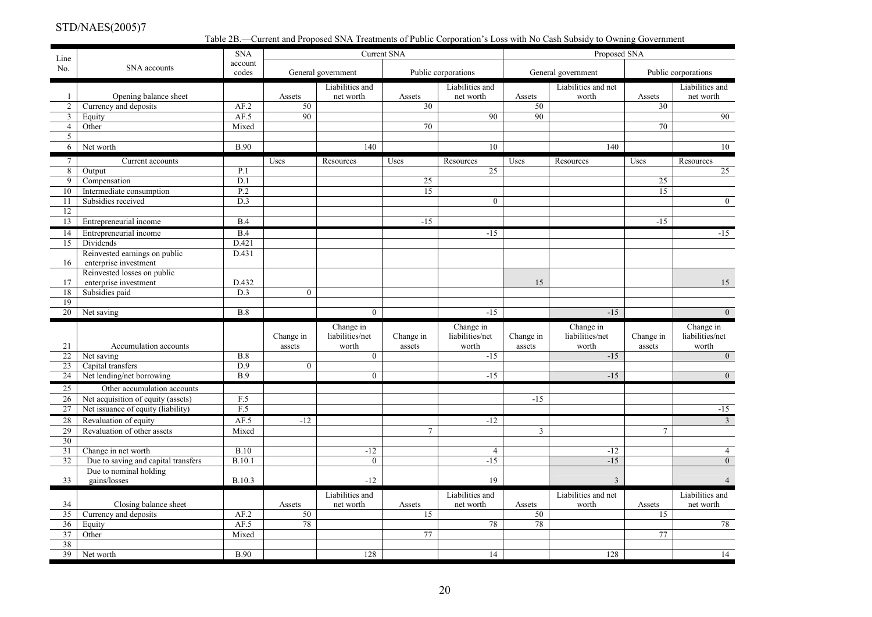Table 2B.—Current and Proposed SNA Treatments of Public Corporation's Loss with No Cash Subsidy to Owning Government

| account<br>No.<br>SNA accounts<br>General government<br>Public corporations<br>General government<br>Public corporations<br>codes<br>Liabilities and<br>Liabilities and<br>Liabilities and net<br>Liabilities and<br>Opening balance sheet<br>net worth<br>Assets<br>net worth<br>Assets<br>net worth<br>$\mathbf{1}$<br>Assets<br>Assets<br>worth<br>AF.2<br>50<br>30<br>30<br>$\overline{2}$<br>Currency and deposits<br>50<br>$\overline{90}$<br>$\overline{90}$<br>AF.5<br>90<br>90<br>$\mathbf{3}$<br>Equity<br>Mixed<br>70<br>70<br>$\overline{4}$<br>Other<br>5<br><b>B.90</b><br>140<br>10<br>140<br>10<br>6<br>Net worth<br>Uses<br>$7\phantom{.0}$<br>Uses<br>Uses<br>Uses<br>Current accounts<br>Resources<br>Resources<br>Resources<br>Resources<br>8 <sup>2</sup><br>P.1<br>25<br>25<br>Output<br>$\overline{9}$<br>25<br>Compensation<br>D.1<br>25<br>Intermediate consumption<br>P.2<br>15<br>15<br>10<br>Subsidies received<br>D.3<br>$\mathbf{0}$<br>$\overline{0}$<br>11<br>12<br>Entrepreneurial income<br>13<br>B.4<br>$-15$<br>$-15$<br>B.4<br>$-15$<br>$-15$<br>14<br>Entrepreneurial income<br>D.421<br>15<br>Dividends<br>Reinvested earnings on public<br>D.431<br>enterprise investment<br>16<br>Reinvested losses on public<br>D.432<br>enterprise investment<br>15<br>15<br>17<br>D.3<br>Subsidies paid<br>$\overline{0}$<br>18<br>19<br>B.8<br>$\overline{0}$<br>$-15$<br>$-15$<br>$\overline{0}$<br>20 <sup>1</sup><br>Net saving<br>Change in<br>Change in<br>Change in<br>Change in<br>liabilities/net<br>Change in<br>liabilities/net<br>Change in<br>liabilities/net<br>liabilities/net<br>Change in<br>Change in<br>Accumulation accounts<br>21<br>assets<br>worth<br>assets<br>worth<br>assets<br>worth<br>assets<br>worth<br>B.8<br>22<br>Net saving<br>$\overline{0}$<br>$-15$<br>$-15$<br>$\overline{0}$<br>$\overline{D.9}$<br>$\overline{0}$<br>Capital transfers<br>23<br>Net lending/net borrowing<br><b>B.9</b><br>$\overline{0}$<br>$-15$<br>$-15$<br>$\overline{0}$<br>24<br>$\overline{25}$<br>Other accumulation accounts<br>F.5<br>26<br>Net acquisition of equity (assets)<br>$-15$<br>F.5<br>27<br>Net issuance of equity (liability)<br>$-15$<br>AF.5<br>$-12$<br>$-12$<br>$\mathfrak{Z}$<br>28<br>Revaluation of equity<br>29<br>Revaluation of other assets<br>Mixed<br>$\overline{3}$<br>7<br>$\tau$<br>$\overline{30}$<br>B.10<br>31<br>Change in net worth<br>$-12$<br>$\overline{4}$<br>$-12$<br>$\overline{4}$<br>B.10.1<br>$-15$<br>32<br>Due to saving and capital transfers<br>$\theta$<br>$-15$<br>$\overline{0}$<br>Due to nominal holding<br>19<br>33<br>gains/losses<br><b>B.10.3</b><br>$-12$<br>$\overline{3}$<br>Liabilities and<br>Liabilities and<br>Liabilities and net<br>Liabilities and<br>34<br>Closing balance sheet<br>Assets<br>net worth<br>Assets<br>net worth<br>Assets<br>worth<br>Assets<br>net worth | AF.2<br>50<br>15<br>50<br>35<br>Currency and deposits<br>78<br>AF.5<br>78<br>78<br>36<br>Equity<br>37<br>Mixed<br>77<br>Other<br>$\overline{38}$ | Line |           | <b>SNA</b>  |     | Current SNA |    | Proposed SNA |    |    |
|-------------------------------------------------------------------------------------------------------------------------------------------------------------------------------------------------------------------------------------------------------------------------------------------------------------------------------------------------------------------------------------------------------------------------------------------------------------------------------------------------------------------------------------------------------------------------------------------------------------------------------------------------------------------------------------------------------------------------------------------------------------------------------------------------------------------------------------------------------------------------------------------------------------------------------------------------------------------------------------------------------------------------------------------------------------------------------------------------------------------------------------------------------------------------------------------------------------------------------------------------------------------------------------------------------------------------------------------------------------------------------------------------------------------------------------------------------------------------------------------------------------------------------------------------------------------------------------------------------------------------------------------------------------------------------------------------------------------------------------------------------------------------------------------------------------------------------------------------------------------------------------------------------------------------------------------------------------------------------------------------------------------------------------------------------------------------------------------------------------------------------------------------------------------------------------------------------------------------------------------------------------------------------------------------------------------------------------------------------------------------------------------------------------------------------------------------------------------------------------------------------------------------------------------------------------------------------------------------------------------------------------------------------------------------------------------------------------------------------------------------------------------------------------------------------------------------------------------------------------------------------------------|--------------------------------------------------------------------------------------------------------------------------------------------------|------|-----------|-------------|-----|-------------|----|--------------|----|----|
|                                                                                                                                                                                                                                                                                                                                                                                                                                                                                                                                                                                                                                                                                                                                                                                                                                                                                                                                                                                                                                                                                                                                                                                                                                                                                                                                                                                                                                                                                                                                                                                                                                                                                                                                                                                                                                                                                                                                                                                                                                                                                                                                                                                                                                                                                                                                                                                                                                                                                                                                                                                                                                                                                                                                                                                                                                                                                           |                                                                                                                                                  |      |           |             |     |             |    |              |    |    |
|                                                                                                                                                                                                                                                                                                                                                                                                                                                                                                                                                                                                                                                                                                                                                                                                                                                                                                                                                                                                                                                                                                                                                                                                                                                                                                                                                                                                                                                                                                                                                                                                                                                                                                                                                                                                                                                                                                                                                                                                                                                                                                                                                                                                                                                                                                                                                                                                                                                                                                                                                                                                                                                                                                                                                                                                                                                                                           |                                                                                                                                                  |      |           |             |     |             |    |              |    |    |
|                                                                                                                                                                                                                                                                                                                                                                                                                                                                                                                                                                                                                                                                                                                                                                                                                                                                                                                                                                                                                                                                                                                                                                                                                                                                                                                                                                                                                                                                                                                                                                                                                                                                                                                                                                                                                                                                                                                                                                                                                                                                                                                                                                                                                                                                                                                                                                                                                                                                                                                                                                                                                                                                                                                                                                                                                                                                                           |                                                                                                                                                  |      |           |             |     |             |    |              |    |    |
|                                                                                                                                                                                                                                                                                                                                                                                                                                                                                                                                                                                                                                                                                                                                                                                                                                                                                                                                                                                                                                                                                                                                                                                                                                                                                                                                                                                                                                                                                                                                                                                                                                                                                                                                                                                                                                                                                                                                                                                                                                                                                                                                                                                                                                                                                                                                                                                                                                                                                                                                                                                                                                                                                                                                                                                                                                                                                           |                                                                                                                                                  |      |           |             |     |             |    |              |    |    |
|                                                                                                                                                                                                                                                                                                                                                                                                                                                                                                                                                                                                                                                                                                                                                                                                                                                                                                                                                                                                                                                                                                                                                                                                                                                                                                                                                                                                                                                                                                                                                                                                                                                                                                                                                                                                                                                                                                                                                                                                                                                                                                                                                                                                                                                                                                                                                                                                                                                                                                                                                                                                                                                                                                                                                                                                                                                                                           |                                                                                                                                                  |      |           |             |     |             |    |              |    |    |
|                                                                                                                                                                                                                                                                                                                                                                                                                                                                                                                                                                                                                                                                                                                                                                                                                                                                                                                                                                                                                                                                                                                                                                                                                                                                                                                                                                                                                                                                                                                                                                                                                                                                                                                                                                                                                                                                                                                                                                                                                                                                                                                                                                                                                                                                                                                                                                                                                                                                                                                                                                                                                                                                                                                                                                                                                                                                                           |                                                                                                                                                  |      |           |             |     |             |    |              |    |    |
|                                                                                                                                                                                                                                                                                                                                                                                                                                                                                                                                                                                                                                                                                                                                                                                                                                                                                                                                                                                                                                                                                                                                                                                                                                                                                                                                                                                                                                                                                                                                                                                                                                                                                                                                                                                                                                                                                                                                                                                                                                                                                                                                                                                                                                                                                                                                                                                                                                                                                                                                                                                                                                                                                                                                                                                                                                                                                           |                                                                                                                                                  |      |           |             |     |             |    |              |    |    |
|                                                                                                                                                                                                                                                                                                                                                                                                                                                                                                                                                                                                                                                                                                                                                                                                                                                                                                                                                                                                                                                                                                                                                                                                                                                                                                                                                                                                                                                                                                                                                                                                                                                                                                                                                                                                                                                                                                                                                                                                                                                                                                                                                                                                                                                                                                                                                                                                                                                                                                                                                                                                                                                                                                                                                                                                                                                                                           |                                                                                                                                                  |      |           |             |     |             |    |              |    |    |
|                                                                                                                                                                                                                                                                                                                                                                                                                                                                                                                                                                                                                                                                                                                                                                                                                                                                                                                                                                                                                                                                                                                                                                                                                                                                                                                                                                                                                                                                                                                                                                                                                                                                                                                                                                                                                                                                                                                                                                                                                                                                                                                                                                                                                                                                                                                                                                                                                                                                                                                                                                                                                                                                                                                                                                                                                                                                                           |                                                                                                                                                  |      |           |             |     |             |    |              |    |    |
|                                                                                                                                                                                                                                                                                                                                                                                                                                                                                                                                                                                                                                                                                                                                                                                                                                                                                                                                                                                                                                                                                                                                                                                                                                                                                                                                                                                                                                                                                                                                                                                                                                                                                                                                                                                                                                                                                                                                                                                                                                                                                                                                                                                                                                                                                                                                                                                                                                                                                                                                                                                                                                                                                                                                                                                                                                                                                           |                                                                                                                                                  |      |           |             |     |             |    |              |    |    |
|                                                                                                                                                                                                                                                                                                                                                                                                                                                                                                                                                                                                                                                                                                                                                                                                                                                                                                                                                                                                                                                                                                                                                                                                                                                                                                                                                                                                                                                                                                                                                                                                                                                                                                                                                                                                                                                                                                                                                                                                                                                                                                                                                                                                                                                                                                                                                                                                                                                                                                                                                                                                                                                                                                                                                                                                                                                                                           |                                                                                                                                                  |      |           |             |     |             |    |              |    |    |
|                                                                                                                                                                                                                                                                                                                                                                                                                                                                                                                                                                                                                                                                                                                                                                                                                                                                                                                                                                                                                                                                                                                                                                                                                                                                                                                                                                                                                                                                                                                                                                                                                                                                                                                                                                                                                                                                                                                                                                                                                                                                                                                                                                                                                                                                                                                                                                                                                                                                                                                                                                                                                                                                                                                                                                                                                                                                                           |                                                                                                                                                  |      |           |             |     |             |    |              |    |    |
|                                                                                                                                                                                                                                                                                                                                                                                                                                                                                                                                                                                                                                                                                                                                                                                                                                                                                                                                                                                                                                                                                                                                                                                                                                                                                                                                                                                                                                                                                                                                                                                                                                                                                                                                                                                                                                                                                                                                                                                                                                                                                                                                                                                                                                                                                                                                                                                                                                                                                                                                                                                                                                                                                                                                                                                                                                                                                           |                                                                                                                                                  |      |           |             |     |             |    |              |    |    |
|                                                                                                                                                                                                                                                                                                                                                                                                                                                                                                                                                                                                                                                                                                                                                                                                                                                                                                                                                                                                                                                                                                                                                                                                                                                                                                                                                                                                                                                                                                                                                                                                                                                                                                                                                                                                                                                                                                                                                                                                                                                                                                                                                                                                                                                                                                                                                                                                                                                                                                                                                                                                                                                                                                                                                                                                                                                                                           |                                                                                                                                                  |      |           |             |     |             |    |              |    |    |
|                                                                                                                                                                                                                                                                                                                                                                                                                                                                                                                                                                                                                                                                                                                                                                                                                                                                                                                                                                                                                                                                                                                                                                                                                                                                                                                                                                                                                                                                                                                                                                                                                                                                                                                                                                                                                                                                                                                                                                                                                                                                                                                                                                                                                                                                                                                                                                                                                                                                                                                                                                                                                                                                                                                                                                                                                                                                                           |                                                                                                                                                  |      |           |             |     |             |    |              |    |    |
|                                                                                                                                                                                                                                                                                                                                                                                                                                                                                                                                                                                                                                                                                                                                                                                                                                                                                                                                                                                                                                                                                                                                                                                                                                                                                                                                                                                                                                                                                                                                                                                                                                                                                                                                                                                                                                                                                                                                                                                                                                                                                                                                                                                                                                                                                                                                                                                                                                                                                                                                                                                                                                                                                                                                                                                                                                                                                           |                                                                                                                                                  |      |           |             |     |             |    |              |    |    |
|                                                                                                                                                                                                                                                                                                                                                                                                                                                                                                                                                                                                                                                                                                                                                                                                                                                                                                                                                                                                                                                                                                                                                                                                                                                                                                                                                                                                                                                                                                                                                                                                                                                                                                                                                                                                                                                                                                                                                                                                                                                                                                                                                                                                                                                                                                                                                                                                                                                                                                                                                                                                                                                                                                                                                                                                                                                                                           |                                                                                                                                                  |      |           |             |     |             |    |              |    |    |
|                                                                                                                                                                                                                                                                                                                                                                                                                                                                                                                                                                                                                                                                                                                                                                                                                                                                                                                                                                                                                                                                                                                                                                                                                                                                                                                                                                                                                                                                                                                                                                                                                                                                                                                                                                                                                                                                                                                                                                                                                                                                                                                                                                                                                                                                                                                                                                                                                                                                                                                                                                                                                                                                                                                                                                                                                                                                                           |                                                                                                                                                  |      |           |             |     |             |    |              |    |    |
|                                                                                                                                                                                                                                                                                                                                                                                                                                                                                                                                                                                                                                                                                                                                                                                                                                                                                                                                                                                                                                                                                                                                                                                                                                                                                                                                                                                                                                                                                                                                                                                                                                                                                                                                                                                                                                                                                                                                                                                                                                                                                                                                                                                                                                                                                                                                                                                                                                                                                                                                                                                                                                                                                                                                                                                                                                                                                           |                                                                                                                                                  |      |           |             |     |             |    |              |    |    |
|                                                                                                                                                                                                                                                                                                                                                                                                                                                                                                                                                                                                                                                                                                                                                                                                                                                                                                                                                                                                                                                                                                                                                                                                                                                                                                                                                                                                                                                                                                                                                                                                                                                                                                                                                                                                                                                                                                                                                                                                                                                                                                                                                                                                                                                                                                                                                                                                                                                                                                                                                                                                                                                                                                                                                                                                                                                                                           |                                                                                                                                                  |      |           |             |     |             |    |              |    |    |
|                                                                                                                                                                                                                                                                                                                                                                                                                                                                                                                                                                                                                                                                                                                                                                                                                                                                                                                                                                                                                                                                                                                                                                                                                                                                                                                                                                                                                                                                                                                                                                                                                                                                                                                                                                                                                                                                                                                                                                                                                                                                                                                                                                                                                                                                                                                                                                                                                                                                                                                                                                                                                                                                                                                                                                                                                                                                                           |                                                                                                                                                  |      |           |             |     |             |    |              |    |    |
|                                                                                                                                                                                                                                                                                                                                                                                                                                                                                                                                                                                                                                                                                                                                                                                                                                                                                                                                                                                                                                                                                                                                                                                                                                                                                                                                                                                                                                                                                                                                                                                                                                                                                                                                                                                                                                                                                                                                                                                                                                                                                                                                                                                                                                                                                                                                                                                                                                                                                                                                                                                                                                                                                                                                                                                                                                                                                           |                                                                                                                                                  |      |           |             |     |             |    |              |    |    |
|                                                                                                                                                                                                                                                                                                                                                                                                                                                                                                                                                                                                                                                                                                                                                                                                                                                                                                                                                                                                                                                                                                                                                                                                                                                                                                                                                                                                                                                                                                                                                                                                                                                                                                                                                                                                                                                                                                                                                                                                                                                                                                                                                                                                                                                                                                                                                                                                                                                                                                                                                                                                                                                                                                                                                                                                                                                                                           |                                                                                                                                                  |      |           |             |     |             |    |              |    |    |
|                                                                                                                                                                                                                                                                                                                                                                                                                                                                                                                                                                                                                                                                                                                                                                                                                                                                                                                                                                                                                                                                                                                                                                                                                                                                                                                                                                                                                                                                                                                                                                                                                                                                                                                                                                                                                                                                                                                                                                                                                                                                                                                                                                                                                                                                                                                                                                                                                                                                                                                                                                                                                                                                                                                                                                                                                                                                                           |                                                                                                                                                  |      |           |             |     |             |    |              |    |    |
|                                                                                                                                                                                                                                                                                                                                                                                                                                                                                                                                                                                                                                                                                                                                                                                                                                                                                                                                                                                                                                                                                                                                                                                                                                                                                                                                                                                                                                                                                                                                                                                                                                                                                                                                                                                                                                                                                                                                                                                                                                                                                                                                                                                                                                                                                                                                                                                                                                                                                                                                                                                                                                                                                                                                                                                                                                                                                           |                                                                                                                                                  |      |           |             |     |             |    |              |    |    |
|                                                                                                                                                                                                                                                                                                                                                                                                                                                                                                                                                                                                                                                                                                                                                                                                                                                                                                                                                                                                                                                                                                                                                                                                                                                                                                                                                                                                                                                                                                                                                                                                                                                                                                                                                                                                                                                                                                                                                                                                                                                                                                                                                                                                                                                                                                                                                                                                                                                                                                                                                                                                                                                                                                                                                                                                                                                                                           |                                                                                                                                                  |      |           |             |     |             |    |              |    |    |
|                                                                                                                                                                                                                                                                                                                                                                                                                                                                                                                                                                                                                                                                                                                                                                                                                                                                                                                                                                                                                                                                                                                                                                                                                                                                                                                                                                                                                                                                                                                                                                                                                                                                                                                                                                                                                                                                                                                                                                                                                                                                                                                                                                                                                                                                                                                                                                                                                                                                                                                                                                                                                                                                                                                                                                                                                                                                                           |                                                                                                                                                  |      |           |             |     |             |    |              |    |    |
|                                                                                                                                                                                                                                                                                                                                                                                                                                                                                                                                                                                                                                                                                                                                                                                                                                                                                                                                                                                                                                                                                                                                                                                                                                                                                                                                                                                                                                                                                                                                                                                                                                                                                                                                                                                                                                                                                                                                                                                                                                                                                                                                                                                                                                                                                                                                                                                                                                                                                                                                                                                                                                                                                                                                                                                                                                                                                           |                                                                                                                                                  |      |           |             |     |             |    |              |    |    |
|                                                                                                                                                                                                                                                                                                                                                                                                                                                                                                                                                                                                                                                                                                                                                                                                                                                                                                                                                                                                                                                                                                                                                                                                                                                                                                                                                                                                                                                                                                                                                                                                                                                                                                                                                                                                                                                                                                                                                                                                                                                                                                                                                                                                                                                                                                                                                                                                                                                                                                                                                                                                                                                                                                                                                                                                                                                                                           |                                                                                                                                                  |      |           |             |     |             |    |              |    |    |
|                                                                                                                                                                                                                                                                                                                                                                                                                                                                                                                                                                                                                                                                                                                                                                                                                                                                                                                                                                                                                                                                                                                                                                                                                                                                                                                                                                                                                                                                                                                                                                                                                                                                                                                                                                                                                                                                                                                                                                                                                                                                                                                                                                                                                                                                                                                                                                                                                                                                                                                                                                                                                                                                                                                                                                                                                                                                                           |                                                                                                                                                  |      |           |             |     |             |    |              |    |    |
|                                                                                                                                                                                                                                                                                                                                                                                                                                                                                                                                                                                                                                                                                                                                                                                                                                                                                                                                                                                                                                                                                                                                                                                                                                                                                                                                                                                                                                                                                                                                                                                                                                                                                                                                                                                                                                                                                                                                                                                                                                                                                                                                                                                                                                                                                                                                                                                                                                                                                                                                                                                                                                                                                                                                                                                                                                                                                           |                                                                                                                                                  |      |           |             |     |             |    |              |    |    |
|                                                                                                                                                                                                                                                                                                                                                                                                                                                                                                                                                                                                                                                                                                                                                                                                                                                                                                                                                                                                                                                                                                                                                                                                                                                                                                                                                                                                                                                                                                                                                                                                                                                                                                                                                                                                                                                                                                                                                                                                                                                                                                                                                                                                                                                                                                                                                                                                                                                                                                                                                                                                                                                                                                                                                                                                                                                                                           |                                                                                                                                                  |      |           |             |     |             |    |              |    |    |
|                                                                                                                                                                                                                                                                                                                                                                                                                                                                                                                                                                                                                                                                                                                                                                                                                                                                                                                                                                                                                                                                                                                                                                                                                                                                                                                                                                                                                                                                                                                                                                                                                                                                                                                                                                                                                                                                                                                                                                                                                                                                                                                                                                                                                                                                                                                                                                                                                                                                                                                                                                                                                                                                                                                                                                                                                                                                                           |                                                                                                                                                  |      |           |             |     |             |    |              |    |    |
|                                                                                                                                                                                                                                                                                                                                                                                                                                                                                                                                                                                                                                                                                                                                                                                                                                                                                                                                                                                                                                                                                                                                                                                                                                                                                                                                                                                                                                                                                                                                                                                                                                                                                                                                                                                                                                                                                                                                                                                                                                                                                                                                                                                                                                                                                                                                                                                                                                                                                                                                                                                                                                                                                                                                                                                                                                                                                           |                                                                                                                                                  |      |           |             |     |             |    |              |    |    |
|                                                                                                                                                                                                                                                                                                                                                                                                                                                                                                                                                                                                                                                                                                                                                                                                                                                                                                                                                                                                                                                                                                                                                                                                                                                                                                                                                                                                                                                                                                                                                                                                                                                                                                                                                                                                                                                                                                                                                                                                                                                                                                                                                                                                                                                                                                                                                                                                                                                                                                                                                                                                                                                                                                                                                                                                                                                                                           |                                                                                                                                                  |      |           |             |     |             |    |              |    |    |
|                                                                                                                                                                                                                                                                                                                                                                                                                                                                                                                                                                                                                                                                                                                                                                                                                                                                                                                                                                                                                                                                                                                                                                                                                                                                                                                                                                                                                                                                                                                                                                                                                                                                                                                                                                                                                                                                                                                                                                                                                                                                                                                                                                                                                                                                                                                                                                                                                                                                                                                                                                                                                                                                                                                                                                                                                                                                                           |                                                                                                                                                  |      |           |             |     |             |    |              |    |    |
|                                                                                                                                                                                                                                                                                                                                                                                                                                                                                                                                                                                                                                                                                                                                                                                                                                                                                                                                                                                                                                                                                                                                                                                                                                                                                                                                                                                                                                                                                                                                                                                                                                                                                                                                                                                                                                                                                                                                                                                                                                                                                                                                                                                                                                                                                                                                                                                                                                                                                                                                                                                                                                                                                                                                                                                                                                                                                           |                                                                                                                                                  |      |           |             |     |             |    |              |    |    |
|                                                                                                                                                                                                                                                                                                                                                                                                                                                                                                                                                                                                                                                                                                                                                                                                                                                                                                                                                                                                                                                                                                                                                                                                                                                                                                                                                                                                                                                                                                                                                                                                                                                                                                                                                                                                                                                                                                                                                                                                                                                                                                                                                                                                                                                                                                                                                                                                                                                                                                                                                                                                                                                                                                                                                                                                                                                                                           |                                                                                                                                                  |      |           |             |     |             |    |              |    |    |
|                                                                                                                                                                                                                                                                                                                                                                                                                                                                                                                                                                                                                                                                                                                                                                                                                                                                                                                                                                                                                                                                                                                                                                                                                                                                                                                                                                                                                                                                                                                                                                                                                                                                                                                                                                                                                                                                                                                                                                                                                                                                                                                                                                                                                                                                                                                                                                                                                                                                                                                                                                                                                                                                                                                                                                                                                                                                                           |                                                                                                                                                  |      |           |             |     |             |    |              |    |    |
|                                                                                                                                                                                                                                                                                                                                                                                                                                                                                                                                                                                                                                                                                                                                                                                                                                                                                                                                                                                                                                                                                                                                                                                                                                                                                                                                                                                                                                                                                                                                                                                                                                                                                                                                                                                                                                                                                                                                                                                                                                                                                                                                                                                                                                                                                                                                                                                                                                                                                                                                                                                                                                                                                                                                                                                                                                                                                           |                                                                                                                                                  |      |           |             |     |             |    |              |    |    |
|                                                                                                                                                                                                                                                                                                                                                                                                                                                                                                                                                                                                                                                                                                                                                                                                                                                                                                                                                                                                                                                                                                                                                                                                                                                                                                                                                                                                                                                                                                                                                                                                                                                                                                                                                                                                                                                                                                                                                                                                                                                                                                                                                                                                                                                                                                                                                                                                                                                                                                                                                                                                                                                                                                                                                                                                                                                                                           |                                                                                                                                                  |      |           |             |     |             |    |              | 15 |    |
| 78                                                                                                                                                                                                                                                                                                                                                                                                                                                                                                                                                                                                                                                                                                                                                                                                                                                                                                                                                                                                                                                                                                                                                                                                                                                                                                                                                                                                                                                                                                                                                                                                                                                                                                                                                                                                                                                                                                                                                                                                                                                                                                                                                                                                                                                                                                                                                                                                                                                                                                                                                                                                                                                                                                                                                                                                                                                                                        |                                                                                                                                                  |      |           |             |     |             |    |              |    |    |
| 77                                                                                                                                                                                                                                                                                                                                                                                                                                                                                                                                                                                                                                                                                                                                                                                                                                                                                                                                                                                                                                                                                                                                                                                                                                                                                                                                                                                                                                                                                                                                                                                                                                                                                                                                                                                                                                                                                                                                                                                                                                                                                                                                                                                                                                                                                                                                                                                                                                                                                                                                                                                                                                                                                                                                                                                                                                                                                        |                                                                                                                                                  |      |           |             |     |             |    |              |    |    |
|                                                                                                                                                                                                                                                                                                                                                                                                                                                                                                                                                                                                                                                                                                                                                                                                                                                                                                                                                                                                                                                                                                                                                                                                                                                                                                                                                                                                                                                                                                                                                                                                                                                                                                                                                                                                                                                                                                                                                                                                                                                                                                                                                                                                                                                                                                                                                                                                                                                                                                                                                                                                                                                                                                                                                                                                                                                                                           |                                                                                                                                                  |      |           |             |     |             |    |              |    |    |
|                                                                                                                                                                                                                                                                                                                                                                                                                                                                                                                                                                                                                                                                                                                                                                                                                                                                                                                                                                                                                                                                                                                                                                                                                                                                                                                                                                                                                                                                                                                                                                                                                                                                                                                                                                                                                                                                                                                                                                                                                                                                                                                                                                                                                                                                                                                                                                                                                                                                                                                                                                                                                                                                                                                                                                                                                                                                                           |                                                                                                                                                  | 39   | Net worth | <b>B.90</b> | 128 |             | 14 | 128          |    | 14 |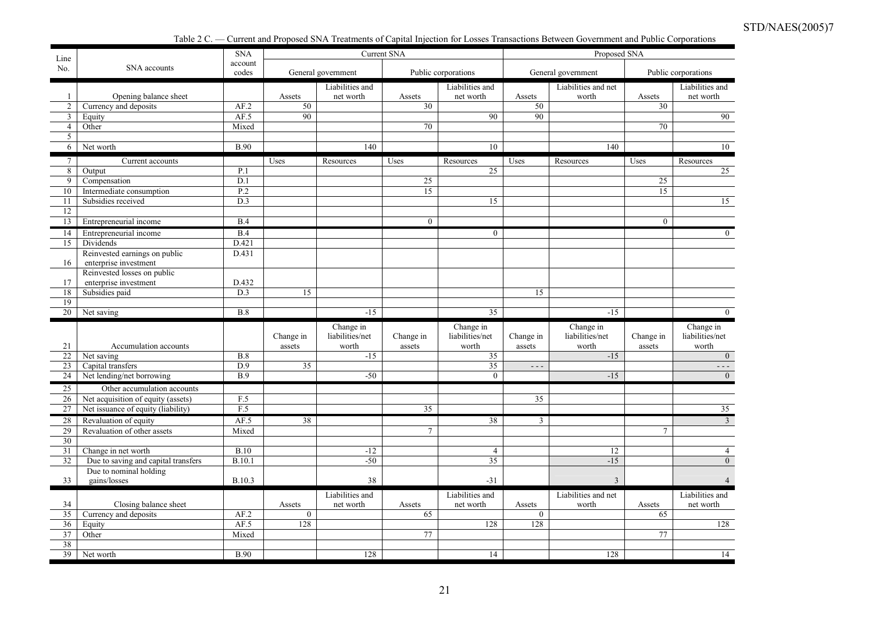Table 2 C. — Current and Proposed SNA Treatments of Capital Injection for Losses Transactions Between Government and Public Corporations

| Line            |                                     | <b>SNA</b>       |                     |                          | Current SNA         |                          |                      | Proposed SNA             |                     |                          |
|-----------------|-------------------------------------|------------------|---------------------|--------------------------|---------------------|--------------------------|----------------------|--------------------------|---------------------|--------------------------|
| No.             | SNA accounts                        | account<br>codes |                     | General government       |                     | Public corporations      |                      | General government       |                     | Public corporations      |
|                 |                                     |                  |                     | Liabilities and          |                     | Liabilities and          |                      | Liabilities and net      |                     | Liabilities and          |
| $\mathbf{1}$    | Opening balance sheet               |                  | Assets              | net worth                | Assets              | net worth                | Assets               | worth                    | Assets              | net worth                |
| $\overline{2}$  | Currency and deposits               | AF.2             | 50                  |                          | 30                  |                          | 50                   |                          | 30                  |                          |
| $\mathbf{3}$    | Equity                              | AF.5             | $\overline{90}$     |                          |                     | 90                       | 90                   |                          |                     | 90                       |
| $\overline{4}$  | Other                               | Mixed            |                     |                          | 70                  |                          |                      |                          | 70                  |                          |
| 5 <sup>5</sup>  |                                     |                  |                     |                          |                     |                          |                      |                          |                     |                          |
| 6               | Net worth                           | <b>B.90</b>      |                     | 140                      |                     | 10                       |                      | 140                      |                     | 10                       |
| $7\overline{ }$ | Current accounts                    |                  | Uses                | Resources                | Uses                | Resources                | Uses                 | Resources                | Uses                | Resources                |
| 8               | Output                              | P.1              |                     |                          |                     | 25                       |                      |                          |                     | 25                       |
| 9               | Compensation                        | D.1              |                     |                          | 25                  |                          |                      |                          | 25                  |                          |
| 10              | Intermediate consumption            | P.2              |                     |                          | 15                  |                          |                      |                          | 15                  |                          |
| 11              | Subsidies received                  | D.3              |                     |                          |                     | 15                       |                      |                          |                     | 15                       |
| 12              |                                     |                  |                     |                          |                     |                          |                      |                          |                     |                          |
| 13              | Entrepreneurial income              | B.4              |                     |                          | $\mathbf{0}$        |                          |                      |                          | $\mathbf{0}$        |                          |
| 14              | Entrepreneurial income              | B.4              |                     |                          |                     | $\mathbf{0}$             |                      |                          |                     | $\theta$                 |
| 15              | Dividends                           | D.421            |                     |                          |                     |                          |                      |                          |                     |                          |
|                 | Reinvested earnings on public       | D.431            |                     |                          |                     |                          |                      |                          |                     |                          |
| 16              | enterprise investment               |                  |                     |                          |                     |                          |                      |                          |                     |                          |
|                 | Reinvested losses on public         |                  |                     |                          |                     |                          |                      |                          |                     |                          |
| 17              | enterprise investment               | D.432<br>D.3     | 15                  |                          |                     |                          |                      |                          |                     |                          |
| 18<br>19        | Subsidies paid                      |                  |                     |                          |                     |                          | 15                   |                          |                     |                          |
| 20              | Net saving                          | B.8              |                     | $-15$                    |                     | 35                       |                      | $-15$                    |                     | $\overline{0}$           |
|                 |                                     |                  |                     |                          |                     |                          |                      |                          |                     |                          |
|                 |                                     |                  |                     | Change in                |                     | Change in                |                      | Change in                |                     | Change in                |
| 21              | Accumulation accounts               |                  | Change in<br>assets | liabilities/net<br>worth | Change in<br>assets | liabilities/net<br>worth | Change in<br>assets  | liabilities/net<br>worth | Change in<br>assets | liabilities/net<br>worth |
| 22              | Net saving                          | B.8              |                     | $-15$                    |                     | 35                       |                      | $-15$                    |                     | $\mathbf{0}$             |
| 23              | Capital transfers                   | D.9              | 35                  |                          |                     | 35                       | $\sim$ $\sim$ $\sim$ |                          |                     | $- - -$                  |
| 24              | Net lending/net borrowing           | <b>B.9</b>       |                     | $-50$                    |                     | $\theta$                 |                      | $-15$                    |                     | $\mathbf{0}$             |
| 25              | Other accumulation accounts         |                  |                     |                          |                     |                          |                      |                          |                     |                          |
| 26              | Net acquisition of equity (assets)  | F.5              |                     |                          |                     |                          | 35                   |                          |                     |                          |
| 27              | Net issuance of equity (liability)  | F.5              |                     |                          | 35                  |                          |                      |                          |                     | 35                       |
| 28              | Revaluation of equity               | AF.5             | 38                  |                          |                     | 38                       | 3                    |                          |                     | $\overline{3}$           |
| 29              | Revaluation of other assets         | Mixed            |                     |                          | $\tau$              |                          |                      |                          | $\overline{7}$      |                          |
| $\overline{30}$ |                                     |                  |                     |                          |                     |                          |                      |                          |                     |                          |
| 31              | Change in net worth                 | B.10             |                     | $-12$                    |                     | $\overline{4}$           |                      | 12                       |                     | $\overline{4}$           |
| 32              | Due to saving and capital transfers | <b>B.10.1</b>    |                     | $-50$                    |                     | 35                       |                      | $-15$                    |                     | $\overline{0}$           |
|                 | Due to nominal holding              |                  |                     |                          |                     |                          |                      |                          |                     |                          |
| 33              | gains/losses                        | B.10.3           |                     | 38                       |                     | $-31$                    |                      | 3                        |                     |                          |
|                 |                                     |                  |                     | Liabilities and          |                     | Liabilities and          |                      | Liabilities and net      |                     | Liabilities and          |
| 34              | Closing balance sheet               |                  | Assets              | net worth                | Assets              | net worth                | Assets               | worth                    | Assets              | net worth                |
| 35              | Currency and deposits               | AF.2             | $\mathbf{0}$        |                          | 65                  |                          | $\mathbf{0}$         |                          | 65                  |                          |
| 36              | Equity                              | AF.5             | 128                 |                          |                     | 128                      | 128                  |                          |                     | 128                      |
| 37              | Other                               | Mixed            |                     |                          | 77                  |                          |                      |                          | 77                  |                          |
| 38              |                                     |                  |                     |                          |                     |                          |                      |                          |                     |                          |
| 39              | Net worth                           | <b>B.90</b>      |                     | 128                      |                     | 14                       |                      | 128                      |                     | 14                       |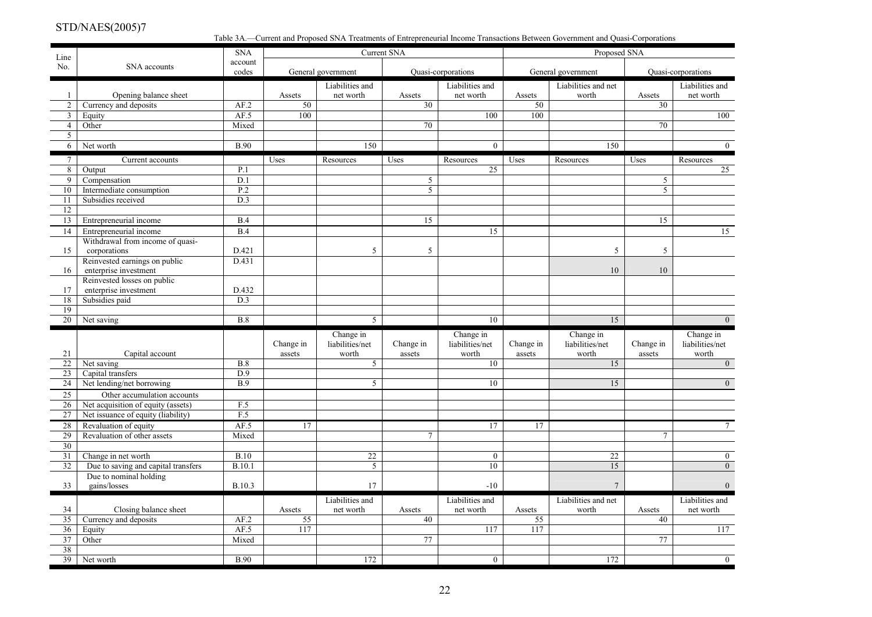Table 3A.—Current and Proposed SNA Treatments of Entrepreneurial Income Transactions Between Government and Quasi-Corporations

| Line                |                                                      | <b>SNA</b>       |              |                              | <b>Current SNA</b>        |                              |              | Proposed SNA                 |                           |                              |
|---------------------|------------------------------------------------------|------------------|--------------|------------------------------|---------------------------|------------------------------|--------------|------------------------------|---------------------------|------------------------------|
| No.                 | SNA accounts                                         | account<br>codes |              |                              |                           |                              |              |                              |                           |                              |
|                     |                                                      |                  |              | General government           |                           | <b>Quasi-corporations</b>    |              | General government           |                           | Quasi-corporations           |
|                     |                                                      |                  |              | Liabilities and              |                           | Liabilities and              |              | Liabilities and net          |                           | Liabilities and              |
| 1<br>$\overline{2}$ | Opening balance sheet<br>Currency and deposits       | AF.2             | Assets<br>50 | net worth                    | Assets<br>$\overline{30}$ | net worth                    | Assets<br>50 | worth                        | Assets<br>$\overline{30}$ | net worth                    |
| $\mathbf{3}$        | Equity                                               | AF.5             | 100          |                              |                           | 100                          | 100          |                              |                           | 100                          |
| $\overline{4}$      | Other                                                | Mixed            |              |                              | 70                        |                              |              |                              | $\overline{70}$           |                              |
| 5                   |                                                      |                  |              |                              |                           |                              |              |                              |                           |                              |
| 6                   | Net worth                                            | <b>B.90</b>      |              | 150                          |                           | $\overline{0}$               |              | 150                          |                           | $\overline{0}$               |
| $7\overline{ }$     | Current accounts                                     |                  | Uses         | Resources                    | Uses                      | Resources                    | Uses         | Resources                    | Uses                      | Resources                    |
| 8                   | Output                                               | P.1              |              |                              |                           | 25                           |              |                              |                           | 25                           |
| 9                   | Compensation                                         | D.1              |              |                              | 5                         |                              |              |                              | 5 <sup>5</sup>            |                              |
| 10                  | Intermediate consumption                             | P.2              |              |                              | 5                         |                              |              |                              | $\overline{5}$            |                              |
| 11                  | Subsidies received                                   | D.3              |              |                              |                           |                              |              |                              |                           |                              |
| 12                  |                                                      |                  |              |                              |                           |                              |              |                              |                           |                              |
| 13                  | Entrepreneurial income                               | B.4              |              |                              | 15                        |                              |              |                              | 15                        |                              |
| 14                  | Entrepreneurial income                               | B.4              |              |                              |                           | 15                           |              |                              |                           | 15                           |
|                     | Withdrawal from income of quasi-                     |                  |              |                              |                           |                              |              |                              |                           |                              |
| 15                  | corporations                                         | D.421            |              | 5                            | 5                         |                              |              | 5                            | 5                         |                              |
|                     | Reinvested earnings on public                        | D.431            |              |                              |                           |                              |              |                              |                           |                              |
| 16                  | enterprise investment<br>Reinvested losses on public |                  |              |                              |                           |                              |              | 10                           | 10                        |                              |
| 17                  | enterprise investment                                | D.432            |              |                              |                           |                              |              |                              |                           |                              |
| 18                  | Subsidies paid                                       | $\overline{D.3}$ |              |                              |                           |                              |              |                              |                           |                              |
| 19                  |                                                      |                  |              |                              |                           |                              |              |                              |                           |                              |
| 20                  | Net saving                                           | <b>B.8</b>       |              | 5                            |                           | 10                           |              | 15                           |                           | $\overline{0}$               |
|                     |                                                      |                  |              | Change in                    |                           | Change in                    |              | Change in                    |                           | Change in                    |
|                     |                                                      |                  | Change in    | liabilities/net              | Change in                 | liabilities/net              | Change in    | liabilities/net              | Change in                 | liabilities/net              |
| 21                  | Capital account                                      |                  | assets       | worth                        | assets                    | worth                        | assets       | worth                        | assets                    | worth                        |
| 22                  | Net saving                                           | B.8              |              | 5                            |                           | 10                           |              | 15                           |                           | $\overline{0}$               |
| 23                  | Capital transfers                                    | D.9              |              |                              |                           |                              |              |                              |                           |                              |
| 24                  | Net lending/net borrowing                            | B.9              |              | 5                            |                           | 10                           |              | 15                           |                           | $\overline{0}$               |
| $\overline{25}$     | Other accumulation accounts                          |                  |              |                              |                           |                              |              |                              |                           |                              |
| 26                  | Net acquisition of equity (assets)                   | F.5              |              |                              |                           |                              |              |                              |                           |                              |
| 27                  | Net issuance of equity (liability)                   | F.5              |              |                              |                           |                              |              |                              |                           |                              |
| 28                  | Revaluation of equity                                | AF.5             | 17           |                              |                           | 17                           | 17           |                              |                           | 7 <sup>7</sup>               |
| 29                  | Revaluation of other assets                          | Mixed            |              |                              | $\tau$                    |                              |              |                              | $\tau$                    |                              |
| 30                  |                                                      |                  |              |                              |                           |                              |              |                              |                           |                              |
| 31                  | Change in net worth                                  | B.10             |              | 22                           |                           | $\overline{0}$               |              | $22\,$                       |                           | $\overline{0}$               |
| 32                  | Due to saving and capital transfers                  | <b>B.10.1</b>    |              | 5                            |                           | 10                           |              | 15                           |                           | $\overline{0}$               |
| 33                  | Due to nominal holding<br>gains/losses               | B.10.3           |              | 17                           |                           | $-10$                        |              | $\overline{7}$               |                           | $\Omega$                     |
|                     |                                                      |                  |              |                              |                           |                              |              |                              |                           |                              |
| 34                  | Closing balance sheet                                |                  | Assets       | Liabilities and<br>net worth | Assets                    | Liabilities and<br>net worth | Assets       | Liabilities and net<br>worth | Assets                    | Liabilities and<br>net worth |
| 35                  |                                                      |                  |              |                              |                           |                              |              |                              |                           |                              |
|                     |                                                      |                  |              |                              |                           |                              |              |                              |                           |                              |
|                     | Currency and deposits                                | AF.2             | 55           |                              | $\overline{40}$           |                              | 55           |                              | 40                        |                              |
| 36                  | Equity                                               | AF.5             | 117          |                              | 77                        | 117                          | 117          |                              | 77                        | 117                          |
| 37<br>38            | Other                                                | Mixed            |              |                              |                           |                              |              |                              |                           |                              |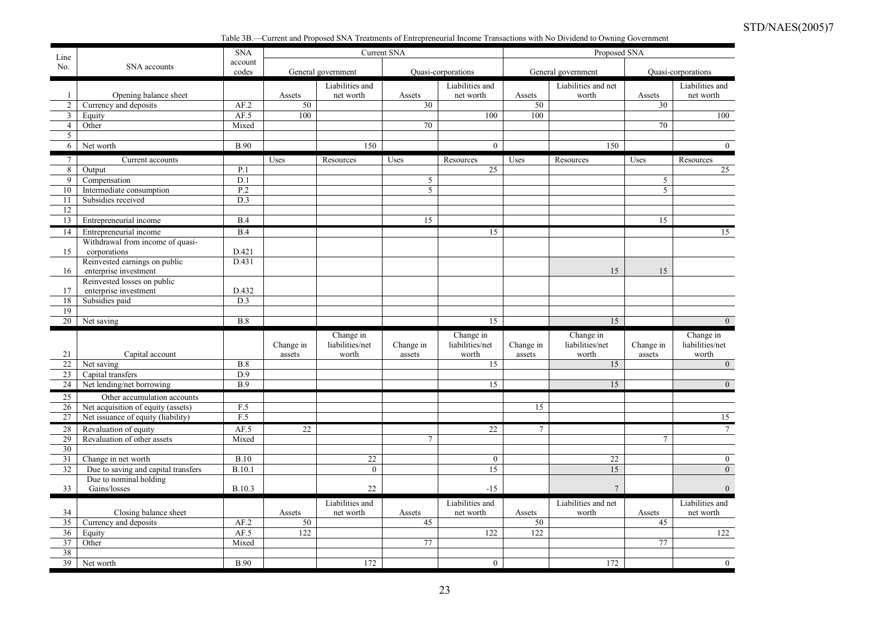Table 3B.—Current and Proposed SNA Treatments of Entrepreneurial Income Transactions with No Dividend to Owning Government

| Line            |                                               | <b>SNA</b>       |           |                    | Current SNA     |                    |           | Proposed SNA        |                 |                    |
|-----------------|-----------------------------------------------|------------------|-----------|--------------------|-----------------|--------------------|-----------|---------------------|-----------------|--------------------|
| No.             | SNA accounts                                  | account<br>codes |           | General government |                 | Quasi-corporations |           | General government  |                 | Quasi-corporations |
|                 |                                               |                  |           | Liabilities and    |                 | Liabilities and    |           | Liabilities and net |                 | Liabilities and    |
| $\mathbf{1}$    | Opening balance sheet                         |                  | Assets    | net worth          | Assets          | net worth          | Assets    | worth               | Assets          | net worth          |
| $\overline{2}$  | Currency and deposits                         | AF.2             | 50        |                    | $\overline{30}$ |                    | 50        |                     | $\overline{30}$ |                    |
| $\overline{3}$  | Equity                                        | AF.5             | 100       |                    |                 | 100                | 100       |                     |                 | 100                |
| $\overline{4}$  | Other                                         | Mixed            |           |                    | $\overline{70}$ |                    |           |                     | 70              |                    |
| 5               |                                               |                  |           |                    |                 |                    |           |                     |                 |                    |
| 6               | Net worth                                     | <b>B.90</b>      |           | 150                |                 | $\boldsymbol{0}$   |           | 150                 |                 | $\boldsymbol{0}$   |
| $7\overline{ }$ | Current accounts                              |                  | Uses      | Resources          | Uses            | Resources          | Uses      | Resources           | Uses            | Resources          |
| $\overline{8}$  | Output                                        | P.1              |           |                    |                 | 25                 |           |                     |                 | 25                 |
| 9               | Compensation                                  | D.1              |           |                    | 5               |                    |           |                     | 5               |                    |
| 10              | Intermediate consumption                      | P.2              |           |                    | 5               |                    |           |                     | 5               |                    |
| 11              | Subsidies received                            | D.3              |           |                    |                 |                    |           |                     |                 |                    |
| 12              |                                               |                  |           |                    |                 |                    |           |                     |                 |                    |
| 13              | Entrepreneurial income                        | B.4              |           |                    | 15              |                    |           |                     | 15              |                    |
| 14              | Entrepreneurial income                        | B.4              |           |                    |                 | 15                 |           |                     |                 | 15                 |
|                 | Withdrawal from income of quasi-              |                  |           |                    |                 |                    |           |                     |                 |                    |
| 15              | corporations<br>Reinvested earnings on public | D.421<br>D.431   |           |                    |                 |                    |           |                     |                 |                    |
| 16              | enterprise investment                         |                  |           |                    |                 |                    |           | 15                  | 15              |                    |
|                 | Reinvested losses on public                   |                  |           |                    |                 |                    |           |                     |                 |                    |
| 17              | enterprise investment                         | D.432            |           |                    |                 |                    |           |                     |                 |                    |
| 18              | Subsidies paid                                | D.3              |           |                    |                 |                    |           |                     |                 |                    |
| 19              |                                               |                  |           |                    |                 |                    |           |                     |                 |                    |
| 20              | Net saving                                    | B.8              |           |                    |                 | 15                 |           | 15                  |                 | $\overline{0}$     |
|                 |                                               |                  |           | Change in          |                 | Change in          |           | Change in           |                 | Change in          |
|                 |                                               |                  | Change in | liabilities/net    | Change in       | liabilities/net    | Change in | liabilities/net     | Change in       | liabilities/net    |
| 21              | Capital account                               |                  | assets    | worth              | assets          | worth              | assets    | worth               | assets          | worth              |
| $\overline{22}$ | Net saving                                    | B.8              |           |                    |                 | 15                 |           | 15                  |                 | $\overline{0}$     |
| 23              | Capital transfers                             | $\overline{D.9}$ |           |                    |                 |                    |           |                     |                 |                    |
| $\overline{24}$ | Net lending/net borrowing                     | B.9              |           |                    |                 | 15                 |           | 15                  |                 | $\theta$           |
| 25              | Other accumulation accounts                   |                  |           |                    |                 |                    |           |                     |                 |                    |
| 26              | Net acquisition of equity (assets)            | F.5              |           |                    |                 |                    | 15        |                     |                 |                    |
| 27              | Net issuance of equity (liability)            | F.5              |           |                    |                 |                    |           |                     |                 | 15                 |
| 28              | Revaluation of equity                         | AF.5             | 22        |                    |                 | 22                 | $\tau$    |                     |                 | $7\overline{ }$    |
| 29              | Revaluation of other assets                   | Mixed            |           |                    | 7               |                    |           |                     | 7               |                    |
| 30              |                                               |                  |           |                    |                 |                    |           |                     |                 |                    |
| 31              | Change in net worth                           | B.10             |           | 22                 |                 | $\boldsymbol{0}$   |           | 22                  |                 | $\overline{0}$     |
| 32              | Due to saving and capital transfers           | <b>B.10.1</b>    |           | $\boldsymbol{0}$   |                 | 15                 |           | 15                  |                 | $\overline{0}$     |
|                 | Due to nominal holding                        |                  |           |                    |                 |                    |           |                     |                 |                    |
| 33              | Gains/losses                                  | B.10.3           |           | 22                 |                 | $-15$              |           | $\overline{7}$      |                 |                    |
|                 |                                               |                  |           | Liabilities and    |                 | Liabilities and    |           | Liabilities and net |                 | Liabilities and    |
| 34              | Closing balance sheet                         |                  | Assets    | net worth          | Assets          | net worth          | Assets    | worth               | Assets          | net worth          |
| 35              | Currency and deposits                         | AF.2             | 50        |                    | 45              |                    | 50        |                     | 45              |                    |
| 36              | Equity                                        | AF.5             | 122       |                    |                 | 122                | 122       |                     |                 | 122                |
| 37<br>38        | Other                                         | Mixed            |           |                    | 77              |                    |           |                     | 77              |                    |
| $\overline{39}$ |                                               | <b>B.90</b>      |           | 172                |                 |                    |           | 172                 |                 | $\overline{0}$     |
|                 | Net worth                                     |                  |           |                    |                 | $\overline{0}$     |           |                     |                 |                    |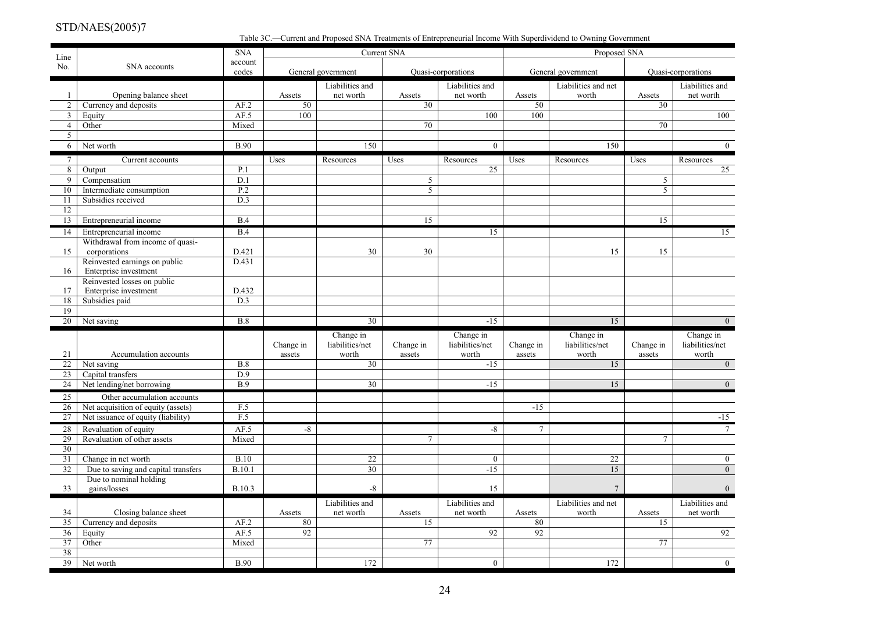Table 3C.—Current and Proposed SNA Treatments of Entrepreneurial Income With Superdividend to Owning Government

| Line            |                                                            | <b>SNA</b>              |              |                              | Current SNA     |                              |                 | Proposed SNA                 |                 |                                  |
|-----------------|------------------------------------------------------------|-------------------------|--------------|------------------------------|-----------------|------------------------------|-----------------|------------------------------|-----------------|----------------------------------|
| No.             | SNA accounts                                               | account<br>codes        |              | General government           |                 | Quasi-corporations           |                 | General government           |                 | Quasi-corporations               |
| 1               | Opening balance sheet                                      |                         | Assets       | Liabilities and<br>net worth | Assets          | Liabilities and<br>net worth | Assets          | Liabilities and net<br>worth | Assets          | Liabilities and<br>net worth     |
| $\overline{2}$  | Currency and deposits                                      | AF.2                    | 50           |                              | 30              |                              | 50              |                              | $\overline{30}$ |                                  |
| $\overline{3}$  | Equity                                                     | AF.5                    | 100          |                              |                 | 100                          | 100             |                              |                 | 100                              |
| $\overline{4}$  | Other                                                      | Mixed                   |              |                              | $\overline{70}$ |                              |                 |                              | 70              |                                  |
| 5               |                                                            |                         |              |                              |                 |                              |                 |                              |                 |                                  |
| 6               | Net worth                                                  | <b>B.90</b>             |              | 150                          |                 | $\mathbf{0}$                 |                 | 150                          |                 | $\overline{0}$                   |
| $7\overline{ }$ | Current accounts                                           |                         | Uses         | Resources                    | Uses            | Resources                    | Uses            | Resources                    | Uses            | Resources                        |
| 8               | Output                                                     | P.1                     |              |                              |                 | 25                           |                 |                              |                 | 25                               |
| 9               | Compensation                                               | D.1                     |              |                              | 5               |                              |                 |                              | 5               |                                  |
| 10              | Intermediate consumption                                   | $\overline{P.2}$        |              |                              | 5               |                              |                 |                              | $\overline{5}$  |                                  |
| 11              | Subsidies received                                         | D.3                     |              |                              |                 |                              |                 |                              |                 |                                  |
| 12              |                                                            |                         |              |                              |                 |                              |                 |                              |                 |                                  |
| 13              | Entrepreneurial income                                     | B.4                     |              |                              | 15              |                              |                 |                              | 15              |                                  |
| 14              | Entrepreneurial income                                     | B.4                     |              |                              |                 | 15                           |                 |                              |                 | 15                               |
|                 | Withdrawal from income of quasi-                           |                         |              |                              |                 |                              |                 |                              |                 |                                  |
| 15              | corporations                                               | D.421                   |              | 30                           | 30              |                              |                 | 15                           | 15              |                                  |
| 16              | Reinvested earnings on public<br>Enterprise investment     | D.431                   |              |                              |                 |                              |                 |                              |                 |                                  |
|                 | Reinvested losses on public                                |                         |              |                              |                 |                              |                 |                              |                 |                                  |
| 17              | Enterprise investment                                      | D.432                   |              |                              |                 |                              |                 |                              |                 |                                  |
| 18              | Subsidies paid                                             | D.3                     |              |                              |                 |                              |                 |                              |                 |                                  |
| 19              |                                                            |                         |              |                              |                 |                              |                 |                              |                 |                                  |
| 20              | Net saving                                                 | B.8                     |              | $\overline{30}$              |                 | $-15$                        |                 | 15                           |                 | $\overline{0}$                   |
|                 |                                                            |                         |              | Change in                    |                 | Change in                    |                 | Change in                    |                 | Change in                        |
|                 |                                                            |                         | Change in    | liabilities/net              | Change in       | liabilities/net              | Change in       | liabilities/net              | Change in       | liabilities/net                  |
| 21              | Accumulation accounts                                      |                         | assets       | worth                        | assets          | worth                        | assets          | worth                        | assets          | worth                            |
| 22              | Net saving                                                 | B.8<br>$\overline{D.9}$ |              | 30                           |                 | $-15$                        |                 | 15                           |                 | $\overline{0}$                   |
| 23<br>24        | Capital transfers<br>Net lending/net borrowing             | B.9                     |              | 30                           |                 | $-15$                        |                 | 15                           |                 | $\overline{0}$                   |
|                 |                                                            |                         |              |                              |                 |                              |                 |                              |                 |                                  |
| 25              | Other accumulation accounts                                |                         |              |                              |                 |                              |                 |                              |                 |                                  |
| 26              | Net acquisition of equity (assets)                         | F.5                     |              |                              |                 |                              | $-15$           |                              |                 |                                  |
| 27              | Net issuance of equity (liability)                         | F.5                     |              |                              |                 |                              |                 |                              |                 | $-15$                            |
| 28              | Revaluation of equity                                      | AF.5                    | -8           |                              |                 | $-8$                         | $7\phantom{.0}$ |                              |                 | $7\phantom{.0}$                  |
| 29              | Revaluation of other assets                                | Mixed                   |              |                              | $\tau$          |                              |                 |                              | $\tau$          |                                  |
| 30              |                                                            |                         |              |                              |                 |                              |                 |                              |                 |                                  |
| 31<br>32        | Change in net worth<br>Due to saving and capital transfers | <b>B.10</b><br>B.10.1   |              | 22<br>30                     |                 | $\boldsymbol{0}$<br>$-15$    |                 | 22<br>15                     |                 | $\overline{0}$<br>$\overline{0}$ |
|                 | Due to nominal holding                                     |                         |              |                              |                 |                              |                 |                              |                 |                                  |
| 33              | gains/losses                                               | <b>B.10.3</b>           |              | $-8$                         |                 | 15                           |                 | $\boldsymbol{7}$             |                 | $\overline{0}$                   |
|                 |                                                            |                         |              |                              |                 |                              |                 |                              |                 |                                  |
|                 |                                                            |                         |              | Liabilities and              |                 | Liabilities and              |                 | Liabilities and net          |                 | Liabilities and                  |
| 34<br>35        | Closing balance sheet<br>Currency and deposits             | AF.2                    | Assets<br>80 | net worth                    | Assets<br>15    | net worth                    | Assets<br>80    | worth                        | Assets<br>15    | net worth                        |
| 36              | Equity                                                     | AF.5                    | 92           |                              |                 | 92                           | 92              |                              |                 | 92                               |
| 37              | Other                                                      | Mixed                   |              |                              | 77              |                              |                 |                              | 77              |                                  |
| 38              |                                                            |                         |              |                              |                 |                              |                 |                              |                 |                                  |
|                 | Net worth                                                  | <b>B.90</b>             |              | 172                          |                 | $\mathbf{0}$                 |                 | 172                          |                 | $\overline{0}$                   |
| $\overline{39}$ |                                                            |                         |              |                              |                 |                              |                 |                              |                 |                                  |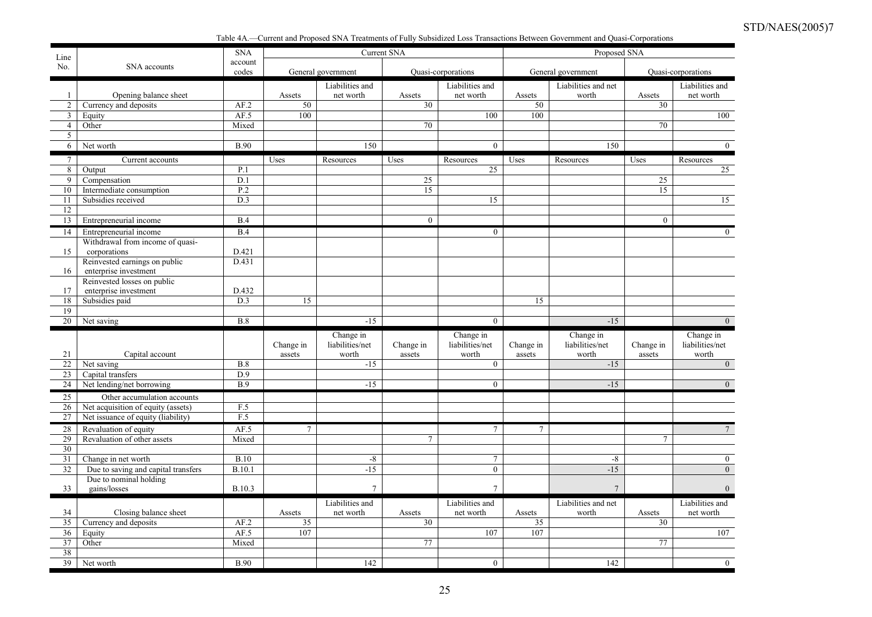Table 4A.—Current and Proposed SNA Treatments of Fully Subsidized Loss Transactions Between Government and Quasi-Corporations

| Line            |                                                                   | <b>SNA</b>       |           |                    | <b>Current SNA</b> |                           |                 | Proposed SNA        |                |                          |
|-----------------|-------------------------------------------------------------------|------------------|-----------|--------------------|--------------------|---------------------------|-----------------|---------------------|----------------|--------------------------|
| No.             | SNA accounts                                                      | account<br>codes |           | General government |                    | Quasi-corporations        |                 | General government  |                | Quasi-corporations       |
|                 |                                                                   |                  |           | Liabilities and    |                    | Liabilities and           |                 | Liabilities and net |                | Liabilities and          |
| 1               | Opening balance sheet                                             |                  | Assets    | net worth          | Assets             | net worth                 | Assets          | worth               | Assets         | net worth                |
| 2               | Currency and deposits                                             | AF.2             | 50        |                    | 30                 |                           | 50              |                     | 30             |                          |
| $\mathbf{3}$    | Equity                                                            | AF.5             | 100       |                    |                    | 100                       | 100             |                     |                | 100                      |
| $\overline{4}$  | Other                                                             | Mixed            |           |                    | 70                 |                           |                 |                     | 70             |                          |
| 5               |                                                                   |                  |           |                    |                    |                           |                 |                     |                |                          |
| 6               | Net worth                                                         | <b>B.90</b>      |           | 150                |                    | $\boldsymbol{0}$          |                 | 150                 |                | $\overline{0}$           |
| $7\overline{ }$ | Current accounts                                                  |                  | Uses      | Resources          | Uses               | Resources                 | Uses            | Resources           | Uses           | Resources                |
| $8\overline{8}$ | Output                                                            | P.1              |           |                    |                    | 25                        |                 |                     |                | $\overline{25}$          |
| 9               | Compensation                                                      | D.1              |           |                    | 25                 |                           |                 |                     | 25             |                          |
| 10              | Intermediate consumption                                          | P.2              |           |                    | 15                 |                           |                 |                     | 15             |                          |
| 11              | Subsidies received                                                | D.3              |           |                    |                    | 15                        |                 |                     |                | 15                       |
| 12              |                                                                   |                  |           |                    |                    |                           |                 |                     |                |                          |
| 13              | Entrepreneurial income                                            | B.4              |           |                    | $\mathbf{0}$       |                           |                 |                     | $\overline{0}$ |                          |
| 14              | Entrepreneurial income                                            | B.4              |           |                    |                    | $\mathbf{0}$              |                 |                     |                | $\overline{0}$           |
|                 | Withdrawal from income of quasi-                                  |                  |           |                    |                    |                           |                 |                     |                |                          |
| 15              | corporations                                                      | D.421            |           |                    |                    |                           |                 |                     |                |                          |
|                 | Reinvested earnings on public                                     | D.431            |           |                    |                    |                           |                 |                     |                |                          |
| 16              | enterprise investment                                             |                  |           |                    |                    |                           |                 |                     |                |                          |
| 17              | Reinvested losses on public<br>enterprise investment              | D.432            |           |                    |                    |                           |                 |                     |                |                          |
| 18              | Subsidies paid                                                    | D.3              | 15        |                    |                    |                           | 15              |                     |                |                          |
| 19              |                                                                   |                  |           |                    |                    |                           |                 |                     |                |                          |
|                 |                                                                   |                  |           |                    |                    |                           |                 |                     |                |                          |
| 20              | Net saving                                                        | B.8              |           | $-15$              |                    | $\mathbf{0}$              |                 | $-15$               |                |                          |
|                 |                                                                   |                  |           |                    |                    |                           |                 |                     |                |                          |
|                 |                                                                   |                  |           | Change in          |                    | Change in                 |                 | Change in           |                | Change in                |
| 21              |                                                                   |                  | Change in | liabilities/net    | Change in          | liabilities/net           | Change in       | liabilities/net     | Change in      | liabilities/net<br>worth |
| 22              | Capital account<br>Net saving                                     | B.8              | assets    | worth<br>$-15$     | assets             | worth<br>$\boldsymbol{0}$ | assets          | worth               | assets         | $\overline{0}$           |
| 23              | Capital transfers                                                 | D.9              |           |                    |                    |                           |                 | $-15$               |                |                          |
| $\overline{24}$ | Net lending/net borrowing                                         | B.9              |           | $-15$              |                    | $\boldsymbol{0}$          |                 | $-15$               |                | $\overline{0}$           |
| 25              |                                                                   |                  |           |                    |                    |                           |                 |                     |                |                          |
| 26              | Other accumulation accounts<br>Net acquisition of equity (assets) |                  |           |                    |                    |                           |                 |                     |                |                          |
| 27              |                                                                   | F.5<br>F.5       |           |                    |                    |                           |                 |                     |                |                          |
| 28              | Net issuance of equity (liability)<br>Revaluation of equity       | AF.5             | $\tau$    |                    |                    | $\tau$                    | $7\phantom{.0}$ |                     |                | $7\overline{ }$          |
| 29              | Revaluation of other assets                                       | Mixed            |           |                    | $\tau$             |                           |                 |                     | 7              |                          |
| 30              |                                                                   |                  |           |                    |                    |                           |                 |                     |                |                          |
| 31              | Change in net worth                                               | B.10             |           | $-8$               |                    | $\overline{7}$            |                 | $-8$                |                | $\mathbf{0}$             |
| 32              | Due to saving and capital transfers                               | <b>B.10.1</b>    |           | $-15$              |                    | $\boldsymbol{0}$          |                 | $-15$               |                | $\overline{0}$           |
|                 | Due to nominal holding                                            |                  |           |                    |                    |                           |                 |                     |                |                          |
| 33              | gains/losses                                                      | B.10.3           |           | $\tau$             |                    | $\overline{7}$            |                 | $\overline{7}$      |                | $\theta$                 |
|                 |                                                                   |                  |           | Liabilities and    |                    | Liabilities and           |                 | Liabilities and net |                | Liabilities and          |
| 34              | Closing balance sheet                                             |                  | Assets    | net worth          | Assets             | net worth                 | Assets          | worth               | Assets         | net worth                |
| 35              | Currency and deposits                                             | AF.2             | 35        |                    | 30                 |                           | 35              |                     | 30             |                          |
| 36              | Equity                                                            | AF.5             | 107       |                    |                    | 107                       | 107             |                     |                | 107                      |
| 37              | Other                                                             | Mixed            |           |                    | 77                 |                           |                 |                     | 77             |                          |
| 38<br>39        | Net worth                                                         | <b>B.90</b>      |           | 142                |                    | $\boldsymbol{0}$          |                 | 142                 |                | $\overline{0}$           |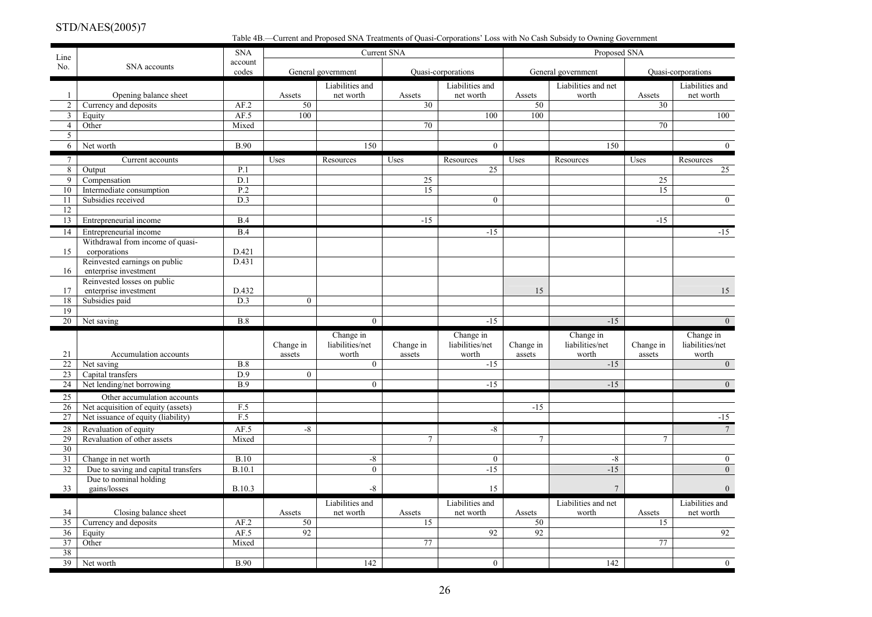Table 4B.—Current and Proposed SNA Treatments of Quasi-Corporations' Loss with No Cash Subsidy to Owning Government

| Line            |                                                      | <b>SNA</b>       |                 |                              | <b>Current SNA</b> |                              |                 | Proposed SNA                 |                 |                              |
|-----------------|------------------------------------------------------|------------------|-----------------|------------------------------|--------------------|------------------------------|-----------------|------------------------------|-----------------|------------------------------|
| No.             | SNA accounts                                         | account<br>codes |                 | General government           |                    | Quasi-corporations           |                 | General government           |                 | Quasi-corporations           |
| 1               | Opening balance sheet                                |                  | Assets          | Liabilities and<br>net worth | Assets             | Liabilities and<br>net worth | Assets          | Liabilities and net<br>worth | Assets          | Liabilities and<br>net worth |
| $\overline{2}$  | Currency and deposits                                | AF.2             | 50              |                              | 30                 |                              | 50              |                              | $\overline{30}$ |                              |
| $\overline{3}$  | Equity                                               | AF.5             | 100             |                              |                    | 100                          | 100             |                              |                 | 100                          |
| $\overline{4}$  | Other                                                | Mixed            |                 |                              | $\overline{70}$    |                              |                 |                              | 70              |                              |
| 5               |                                                      |                  |                 |                              |                    |                              |                 |                              |                 |                              |
| 6               | Net worth                                            | <b>B.90</b>      |                 | 150                          |                    | $\mathbf{0}$                 |                 | 150                          |                 | $\overline{0}$               |
| $7\overline{ }$ | Current accounts                                     |                  | Uses            | Resources                    | Uses               | Resources                    | Uses            | Resources                    | Uses            | Resources                    |
| 8               | Output                                               | P.1              |                 |                              |                    | 25                           |                 |                              |                 | 25                           |
| 9               | Compensation                                         | D.1              |                 |                              | 25                 |                              |                 |                              | 25              |                              |
| 10              | Intermediate consumption                             | P.2              |                 |                              | 15                 |                              |                 |                              | $\overline{15}$ |                              |
| 11              | Subsidies received                                   | D.3              |                 |                              |                    | $\mathbf{0}$                 |                 |                              |                 | $\overline{0}$               |
| 12              |                                                      |                  |                 |                              |                    |                              |                 |                              |                 |                              |
| 13              | Entrepreneurial income                               | B.4              |                 |                              | $-15$              |                              |                 |                              | $-15$           |                              |
| 14              | Entrepreneurial income                               | B.4              |                 |                              |                    | $-15$                        |                 |                              |                 | $-15$                        |
|                 | Withdrawal from income of quasi-                     |                  |                 |                              |                    |                              |                 |                              |                 |                              |
| 15              | corporations                                         | D.421            |                 |                              |                    |                              |                 |                              |                 |                              |
|                 | Reinvested earnings on public                        | D.431            |                 |                              |                    |                              |                 |                              |                 |                              |
| 16              | enterprise investment<br>Reinvested losses on public |                  |                 |                              |                    |                              |                 |                              |                 |                              |
| 17              | enterprise investment                                | D.432            |                 |                              |                    |                              | 15              |                              |                 | 15                           |
| 18              | Subsidies paid                                       | D.3              | $\overline{0}$  |                              |                    |                              |                 |                              |                 |                              |
| 19              |                                                      |                  |                 |                              |                    |                              |                 |                              |                 |                              |
| 20              | Net saving                                           | B.8              |                 | $\overline{0}$               |                    | $-15$                        |                 | $-15$                        |                 | $\overline{0}$               |
|                 |                                                      |                  |                 | Change in                    |                    | Change in                    |                 | Change in                    |                 | Change in                    |
|                 |                                                      |                  | Change in       | liabilities/net              | Change in          | liabilities/net              | Change in       | liabilities/net              | Change in       | liabilities/net              |
| 21              | Accumulation accounts                                |                  | assets          | worth                        | assets             | worth                        | assets          | worth                        | assets          | worth                        |
| 22              | Net saving                                           | B.8              |                 | $\overline{0}$               |                    | $-15$                        |                 | $-15$                        |                 | $\overline{0}$               |
| 23              | Capital transfers                                    | $\overline{D.9}$ | $\overline{0}$  |                              |                    |                              |                 |                              |                 |                              |
| 24              | Net lending/net borrowing                            | <b>B.9</b>       |                 | $\theta$                     |                    | $-15$                        |                 | $-15$                        |                 | $\theta$                     |
| 25              | Other accumulation accounts                          |                  |                 |                              |                    |                              |                 |                              |                 |                              |
| 26              | Net acquisition of equity (assets)                   | F.5              |                 |                              |                    |                              | $-15$           |                              |                 |                              |
| 27              | Net issuance of equity (liability)                   | F.5              |                 |                              |                    |                              |                 |                              |                 | $-15$                        |
| 28              | Revaluation of equity                                | AF.5             | $-8$            |                              |                    | $-8$                         |                 |                              |                 | $7\overline{ }$              |
| 29              | Revaluation of other assets                          | Mixed            |                 |                              | $\tau$             |                              | $7\phantom{.0}$ |                              | $\tau$          |                              |
| 30              |                                                      |                  |                 |                              |                    |                              |                 |                              |                 |                              |
| 31              | Change in net worth                                  | B.10             |                 | $-8$                         |                    | $\boldsymbol{0}$             |                 | $-8$                         |                 | $\overline{0}$               |
| 32              | Due to saving and capital transfers                  | B.10.1           |                 | $\theta$                     |                    | $-15$                        |                 | $-15$                        |                 | $\theta$                     |
|                 | Due to nominal holding                               |                  |                 |                              |                    |                              |                 |                              |                 |                              |
| 33              | gains/losses                                         | <b>B.10.3</b>    |                 | $-8$                         |                    | 15                           |                 | $7\overline{ }$              |                 | $\Omega$                     |
|                 |                                                      |                  |                 | Liabilities and              |                    | Liabilities and              |                 | Liabilities and net          |                 | Liabilities and              |
| 34              | Closing balance sheet                                |                  | Assets          | net worth                    | Assets             | net worth                    | Assets          | worth                        | Assets          | net worth                    |
| 35              | Currency and deposits                                | AF.2             | 50              |                              | 15                 |                              | 50              |                              | 15              |                              |
| 36              | Equity                                               | AF.5             | $\overline{92}$ |                              |                    | 92                           | 92              |                              |                 | 92                           |
| 37              | Other                                                | Mixed            |                 |                              | 77                 |                              |                 |                              | 77              |                              |
| 38              |                                                      |                  |                 |                              |                    |                              |                 |                              |                 |                              |
| $\overline{39}$ | Net worth                                            | <b>B.90</b>      |                 | 142                          |                    | $\bf{0}$                     |                 | $\overline{142}$             |                 | $\overline{0}$               |